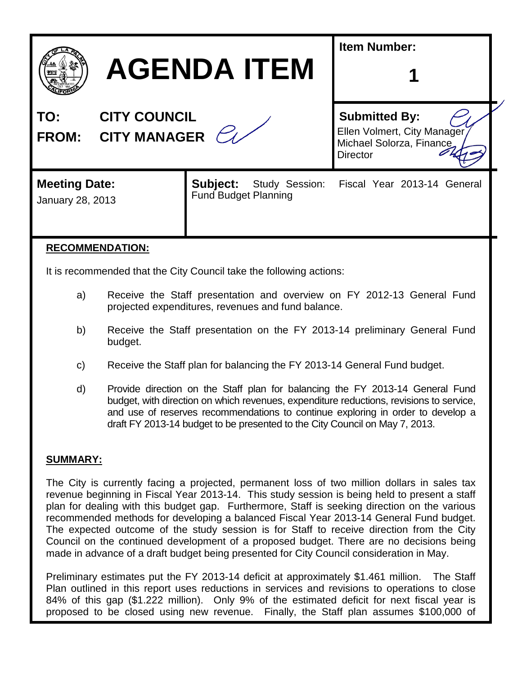|                                                         | <b>AGENDA ITEM</b>                                                                                                                          | <b>Item Number:</b>                                                                                |  |
|---------------------------------------------------------|---------------------------------------------------------------------------------------------------------------------------------------------|----------------------------------------------------------------------------------------------------|--|
| <b>CITY COUNCIL</b><br>TO:<br><b>FROM: CITY MANAGER</b> |                                                                                                                                             | <b>Submitted By:</b><br>Ellen Volmert, City Manager<br>Michael Solorza, Finance<br><b>Director</b> |  |
| <b>Meeting Date:</b><br>January 28, 2013                | Study Session:<br>Subject:<br><b>Fund Budget Planning</b>                                                                                   | Fiscal Year 2013-14 General                                                                        |  |
| <b>RECOMMENDATION:</b>                                  | To be a second and a set of $\mathbb{R}^n$ . And $\mathbb{R}^n$ and $\mathbb{R}^n$ and $\mathbb{R}^n$ and $\mathbb{R}^n$ and $\mathbb{R}^n$ |                                                                                                    |  |

It is recommended that the City Council take the following actions:

- a) Receive the Staff presentation and overview on FY 2012-13 General Fund projected expenditures, revenues and fund balance.
- b) Receive the Staff presentation on the FY 2013-14 preliminary General Fund budget.
- c) Receive the Staff plan for balancing the FY 2013-14 General Fund budget.
- d) Provide direction on the Staff plan for balancing the FY 2013-14 General Fund budget, with direction on which revenues, expenditure reductions, revisions to service, and use of reserves recommendations to continue exploring in order to develop a draft FY 2013-14 budget to be presented to the City Council on May 7, 2013.

## **SUMMARY:**

The City is currently facing a projected, permanent loss of two million dollars in sales tax revenue beginning in Fiscal Year 2013-14. This study session is being held to present a staff plan for dealing with this budget gap. Furthermore, Staff is seeking direction on the various recommended methods for developing a balanced Fiscal Year 2013-14 General Fund budget. The expected outcome of the study session is for Staff to receive direction from the City Council on the continued development of a proposed budget. There are no decisions being made in advance of a draft budget being presented for City Council consideration in May.

Preliminary estimates put the FY 2013-14 deficit at approximately \$1.461 million. The Staff Plan outlined in this report uses reductions in services and revisions to operations to close 84% of this gap (\$1.222 million). Only 9% of the estimated deficit for next fiscal year is proposed to be closed using new revenue. Finally, the Staff plan assumes \$100,000 of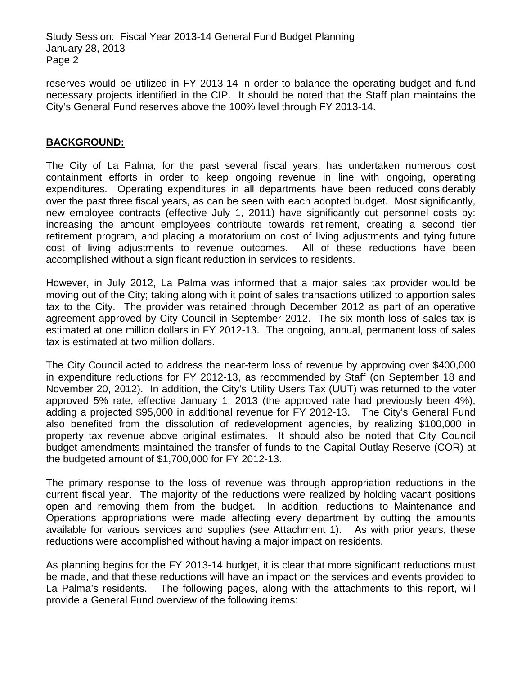reserves would be utilized in FY 2013-14 in order to balance the operating budget and fund necessary projects identified in the CIP. It should be noted that the Staff plan maintains the City's General Fund reserves above the 100% level through FY 2013-14.

## **BACKGROUND:**

The City of La Palma, for the past several fiscal years, has undertaken numerous cost containment efforts in order to keep ongoing revenue in line with ongoing, operating expenditures. Operating expenditures in all departments have been reduced considerably over the past three fiscal years, as can be seen with each adopted budget. Most significantly, new employee contracts (effective July 1, 2011) have significantly cut personnel costs by: increasing the amount employees contribute towards retirement, creating a second tier retirement program, and placing a moratorium on cost of living adjustments and tying future cost of living adjustments to revenue outcomes. All of these reductions have been accomplished without a significant reduction in services to residents.

However, in July 2012, La Palma was informed that a major sales tax provider would be moving out of the City; taking along with it point of sales transactions utilized to apportion sales tax to the City. The provider was retained through December 2012 as part of an operative agreement approved by City Council in September 2012. The six month loss of sales tax is estimated at one million dollars in FY 2012-13. The ongoing, annual, permanent loss of sales tax is estimated at two million dollars.

The City Council acted to address the near-term loss of revenue by approving over \$400,000 in expenditure reductions for FY 2012-13, as recommended by Staff (on September 18 and November 20, 2012). In addition, the City's Utility Users Tax (UUT) was returned to the voter approved 5% rate, effective January 1, 2013 (the approved rate had previously been 4%), adding a projected \$95,000 in additional revenue for FY 2012-13. The City's General Fund also benefited from the dissolution of redevelopment agencies, by realizing \$100,000 in property tax revenue above original estimates. It should also be noted that City Council budget amendments maintained the transfer of funds to the Capital Outlay Reserve (COR) at the budgeted amount of \$1,700,000 for FY 2012-13.

The primary response to the loss of revenue was through appropriation reductions in the current fiscal year. The majority of the reductions were realized by holding vacant positions open and removing them from the budget. In addition, reductions to Maintenance and Operations appropriations were made affecting every department by cutting the amounts available for various services and supplies (see Attachment 1). As with prior years, these reductions were accomplished without having a major impact on residents.

As planning begins for the FY 2013-14 budget, it is clear that more significant reductions must be made, and that these reductions will have an impact on the services and events provided to La Palma's residents. The following pages, along with the attachments to this report, will provide a General Fund overview of the following items: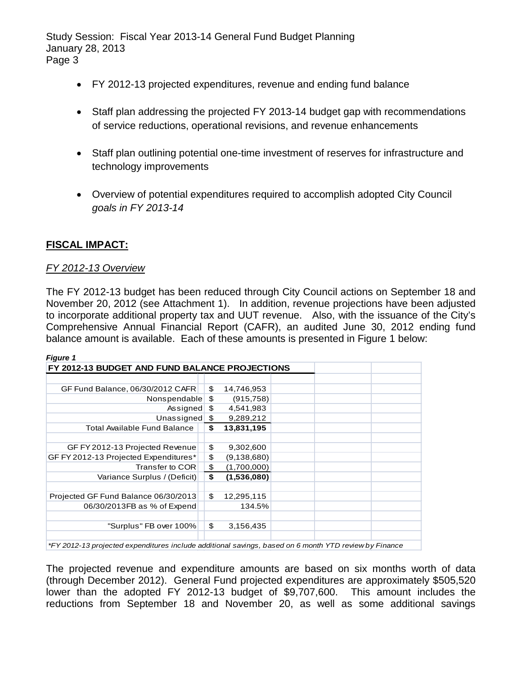- FY 2012-13 projected expenditures, revenue and ending fund balance
- Staff plan addressing the projected FY 2013-14 budget gap with recommendations of service reductions, operational revisions, and revenue enhancements
- Staff plan outlining potential one-time investment of reserves for infrastructure and technology improvements
- Overview of potential expenditures required to accomplish adopted City Council *goals in FY 2013-14*

## **FISCAL IMPACT:**

### *FY 2012-13 Overview*

The FY 2012-13 budget has been reduced through City Council actions on September 18 and November 20, 2012 (see Attachment 1). In addition, revenue projections have been adjusted to incorporate additional property tax and UUT revenue. Also, with the issuance of the City's Comprehensive Annual Financial Report (CAFR), an audited June 30, 2012 ending fund balance amount is available. Each of these amounts is presented in Figure 1 below:

| <b>Figure 1</b>                                                                                       |                   |  |  |
|-------------------------------------------------------------------------------------------------------|-------------------|--|--|
| FY 2012-13 BUDGET AND FUND BALANCE PROJECTIONS                                                        |                   |  |  |
|                                                                                                       |                   |  |  |
| GF Fund Balance, 06/30/2012 CAFR                                                                      | \$<br>14,746,953  |  |  |
| Nonspendable                                                                                          | \$<br>(915, 758)  |  |  |
| Assigned                                                                                              | \$<br>4,541,983   |  |  |
| Unassigned                                                                                            | \$<br>9,289,212   |  |  |
| <b>Total Available Fund Balance</b>                                                                   | \$<br>13,831,195  |  |  |
|                                                                                                       |                   |  |  |
| GF FY 2012-13 Projected Revenue                                                                       | \$<br>9,302,600   |  |  |
| GF FY 2012-13 Projected Expenditures*                                                                 | \$<br>(9,138,680) |  |  |
| Transfer to COR                                                                                       | \$<br>(1,700,000) |  |  |
| Variance Surplus / (Deficit)                                                                          | \$<br>(1,536,080) |  |  |
|                                                                                                       |                   |  |  |
| Projected GF Fund Balance 06/30/2013                                                                  | \$<br>12,295,115  |  |  |
| 06/30/2013FB as % of Expend                                                                           | 134.5%            |  |  |
|                                                                                                       |                   |  |  |
| "Surplus" FB over 100%                                                                                | \$<br>3,156,435   |  |  |
|                                                                                                       |                   |  |  |
| *FY 2012-13 projected expenditures include additional savings, based on 6 month YTD review by Finance |                   |  |  |

The projected revenue and expenditure amounts are based on six months worth of data (through December 2012). General Fund projected expenditures are approximately \$505,520 lower than the adopted FY 2012-13 budget of \$9,707,600. This amount includes the

reductions from September 18 and November 20, as well as some additional savings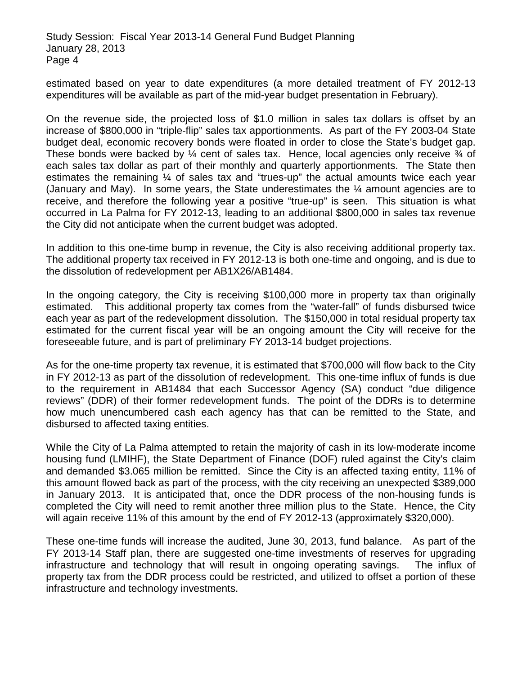estimated based on year to date expenditures (a more detailed treatment of FY 2012-13 expenditures will be available as part of the mid-year budget presentation in February).

On the revenue side, the projected loss of \$1.0 million in sales tax dollars is offset by an increase of \$800,000 in "triple-flip" sales tax apportionments. As part of the FY 2003-04 State budget deal, economic recovery bonds were floated in order to close the State's budget gap. These bonds were backed by  $\frac{1}{4}$  cent of sales tax. Hence, local agencies only receive  $\frac{3}{4}$  of each sales tax dollar as part of their monthly and quarterly apportionments. The State then estimates the remaining ¼ of sales tax and "trues-up" the actual amounts twice each year (January and May). In some years, the State underestimates the ¼ amount agencies are to receive, and therefore the following year a positive "true-up" is seen. This situation is what occurred in La Palma for FY 2012-13, leading to an additional \$800,000 in sales tax revenue the City did not anticipate when the current budget was adopted.

In addition to this one-time bump in revenue, the City is also receiving additional property tax. The additional property tax received in FY 2012-13 is both one-time and ongoing, and is due to the dissolution of redevelopment per AB1X26/AB1484.

In the ongoing category, the City is receiving \$100,000 more in property tax than originally estimated. This additional property tax comes from the "water-fall" of funds disbursed twice each year as part of the redevelopment dissolution. The \$150,000 in total residual property tax estimated for the current fiscal year will be an ongoing amount the City will receive for the foreseeable future, and is part of preliminary FY 2013-14 budget projections.

As for the one-time property tax revenue, it is estimated that \$700,000 will flow back to the City in FY 2012-13 as part of the dissolution of redevelopment. This one-time influx of funds is due to the requirement in AB1484 that each Successor Agency (SA) conduct "due diligence reviews" (DDR) of their former redevelopment funds. The point of the DDRs is to determine how much unencumbered cash each agency has that can be remitted to the State, and disbursed to affected taxing entities.

While the City of La Palma attempted to retain the majority of cash in its low-moderate income housing fund (LMIHF), the State Department of Finance (DOF) ruled against the City's claim and demanded \$3.065 million be remitted. Since the City is an affected taxing entity, 11% of this amount flowed back as part of the process, with the city receiving an unexpected \$389,000 in January 2013. It is anticipated that, once the DDR process of the non-housing funds is completed the City will need to remit another three million plus to the State. Hence, the City will again receive 11% of this amount by the end of FY 2012-13 (approximately \$320,000).

These one-time funds will increase the audited, June 30, 2013, fund balance. As part of the FY 2013-14 Staff plan, there are suggested one-time investments of reserves for upgrading infrastructure and technology that will result in ongoing operating savings. The influx of property tax from the DDR process could be restricted, and utilized to offset a portion of these infrastructure and technology investments.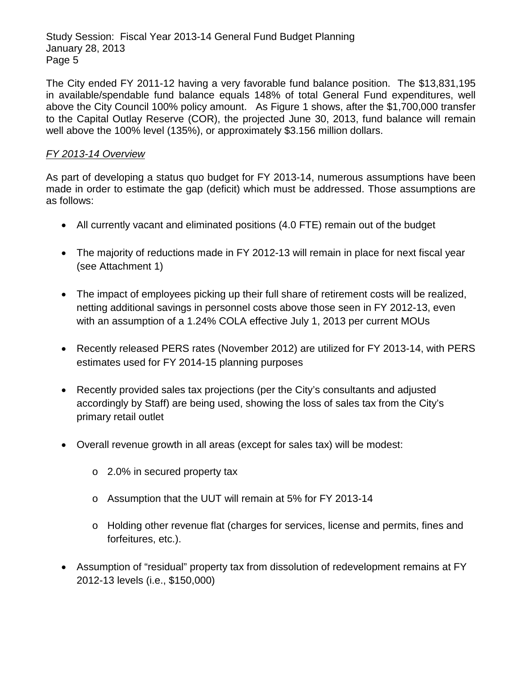The City ended FY 2011-12 having a very favorable fund balance position. The \$13,831,195 in available/spendable fund balance equals 148% of total General Fund expenditures, well above the City Council 100% policy amount. As Figure 1 shows, after the \$1,700,000 transfer to the Capital Outlay Reserve (COR), the projected June 30, 2013, fund balance will remain well above the 100% level (135%), or approximately \$3.156 million dollars.

## *FY 2013-14 Overview*

As part of developing a status quo budget for FY 2013-14, numerous assumptions have been made in order to estimate the gap (deficit) which must be addressed. Those assumptions are as follows:

- All currently vacant and eliminated positions (4.0 FTE) remain out of the budget
- The majority of reductions made in FY 2012-13 will remain in place for next fiscal year (see Attachment 1)
- The impact of employees picking up their full share of retirement costs will be realized, netting additional savings in personnel costs above those seen in FY 2012-13, even with an assumption of a 1.24% COLA effective July 1, 2013 per current MOUs
- Recently released PERS rates (November 2012) are utilized for FY 2013-14, with PERS estimates used for FY 2014-15 planning purposes
- Recently provided sales tax projections (per the City's consultants and adjusted accordingly by Staff) are being used, showing the loss of sales tax from the City's primary retail outlet
- Overall revenue growth in all areas (except for sales tax) will be modest:
	- o 2.0% in secured property tax
	- o Assumption that the UUT will remain at 5% for FY 2013-14
	- o Holding other revenue flat (charges for services, license and permits, fines and forfeitures, etc.).
- Assumption of "residual" property tax from dissolution of redevelopment remains at FY 2012-13 levels (i.e., \$150,000)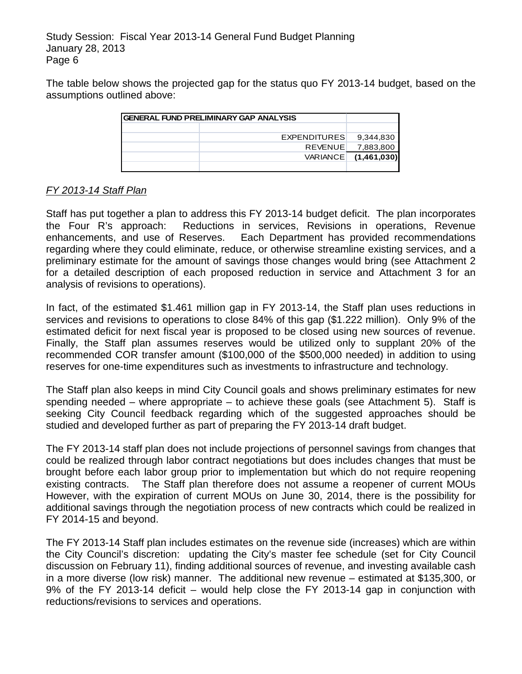The table below shows the projected gap for the status quo FY 2013-14 budget, based on the assumptions outlined above:

| <b>GENERAL FUND PRELIMINARY GAP ANALYSIS</b> |             |
|----------------------------------------------|-------------|
|                                              |             |
| <b>EXPENDITURES</b>                          | 9,344,830   |
| <b>REVENUE</b>                               | 7,883,800   |
| <b>VARIANCE</b>                              | (1,461,030) |
|                                              |             |

## *FY 2013-14 Staff Plan*

Staff has put together a plan to address this FY 2013-14 budget deficit. The plan incorporates the Four R's approach: Reductions in services, Revisions in operations, Revenue enhancements, and use of Reserves. Each Department has provided recommendations regarding where they could eliminate, reduce, or otherwise streamline existing services, and a preliminary estimate for the amount of savings those changes would bring (see Attachment 2 for a detailed description of each proposed reduction in service and Attachment 3 for an analysis of revisions to operations).

In fact, of the estimated \$1.461 million gap in FY 2013-14, the Staff plan uses reductions in services and revisions to operations to close 84% of this gap (\$1.222 million). Only 9% of the estimated deficit for next fiscal year is proposed to be closed using new sources of revenue. Finally, the Staff plan assumes reserves would be utilized only to supplant 20% of the recommended COR transfer amount (\$100,000 of the \$500,000 needed) in addition to using reserves for one-time expenditures such as investments to infrastructure and technology.

The Staff plan also keeps in mind City Council goals and shows preliminary estimates for new spending needed – where appropriate – to achieve these goals (see Attachment 5). Staff is seeking City Council feedback regarding which of the suggested approaches should be studied and developed further as part of preparing the FY 2013-14 draft budget.

The FY 2013-14 staff plan does not include projections of personnel savings from changes that could be realized through labor contract negotiations but does includes changes that must be brought before each labor group prior to implementation but which do not require reopening existing contracts. The Staff plan therefore does not assume a reopener of current MOUs However, with the expiration of current MOUs on June 30, 2014, there is the possibility for additional savings through the negotiation process of new contracts which could be realized in FY 2014-15 and beyond.

The FY 2013-14 Staff plan includes estimates on the revenue side (increases) which are within the City Council's discretion: updating the City's master fee schedule (set for City Council discussion on February 11), finding additional sources of revenue, and investing available cash in a more diverse (low risk) manner. The additional new revenue – estimated at \$135,300, or 9% of the FY 2013-14 deficit – would help close the FY 2013-14 gap in conjunction with reductions/revisions to services and operations.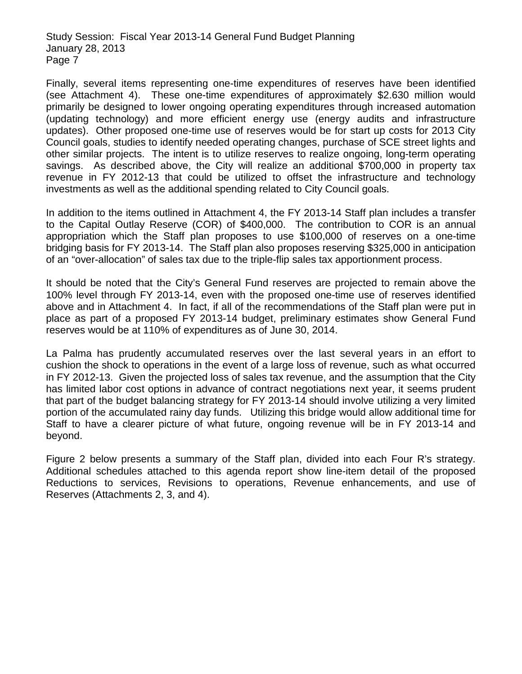Finally, several items representing one-time expenditures of reserves have been identified (see Attachment 4). These one-time expenditures of approximately \$2.630 million would primarily be designed to lower ongoing operating expenditures through increased automation (updating technology) and more efficient energy use (energy audits and infrastructure updates). Other proposed one-time use of reserves would be for start up costs for 2013 City Council goals, studies to identify needed operating changes, purchase of SCE street lights and other similar projects. The intent is to utilize reserves to realize ongoing, long-term operating savings. As described above, the City will realize an additional \$700,000 in property tax revenue in FY 2012-13 that could be utilized to offset the infrastructure and technology investments as well as the additional spending related to City Council goals.

In addition to the items outlined in Attachment 4, the FY 2013-14 Staff plan includes a transfer to the Capital Outlay Reserve (COR) of \$400,000. The contribution to COR is an annual appropriation which the Staff plan proposes to use \$100,000 of reserves on a one-time bridging basis for FY 2013-14. The Staff plan also proposes reserving \$325,000 in anticipation of an "over-allocation" of sales tax due to the triple-flip sales tax apportionment process.

It should be noted that the City's General Fund reserves are projected to remain above the 100% level through FY 2013-14, even with the proposed one-time use of reserves identified above and in Attachment 4. In fact, if all of the recommendations of the Staff plan were put in place as part of a proposed FY 2013-14 budget, preliminary estimates show General Fund reserves would be at 110% of expenditures as of June 30, 2014.

La Palma has prudently accumulated reserves over the last several years in an effort to cushion the shock to operations in the event of a large loss of revenue, such as what occurred in FY 2012-13. Given the projected loss of sales tax revenue, and the assumption that the City has limited labor cost options in advance of contract negotiations next year, it seems prudent that part of the budget balancing strategy for FY 2013-14 should involve utilizing a very limited portion of the accumulated rainy day funds. Utilizing this bridge would allow additional time for Staff to have a clearer picture of what future, ongoing revenue will be in FY 2013-14 and beyond.

Figure 2 below presents a summary of the Staff plan, divided into each Four R's strategy. Additional schedules attached to this agenda report show line-item detail of the proposed Reductions to services, Revisions to operations, Revenue enhancements, and use of Reserves (Attachments 2, 3, and 4).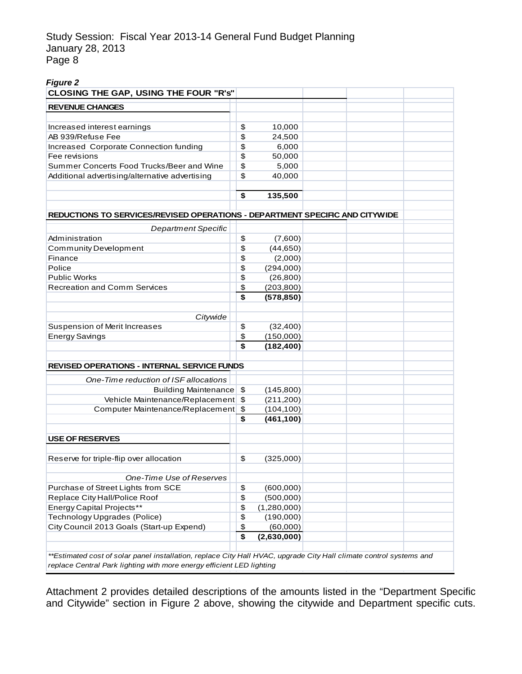| <b>Figure 2</b>                              |  |
|----------------------------------------------|--|
| <b>CLOSING THE GAP, USING THE FOUR "R's"</b> |  |
|                                              |  |
| <b>REVENUE CHANGES</b>                       |  |

| \$<br>10,000<br>\$<br>24,500<br>\$<br>6,000<br>\$<br>50,000<br>\$<br>5,000<br>\$<br>40,000<br>\$<br>135,500<br><b>Department Specific</b><br>\$<br>(7,600)<br>\$<br>(44, 650)<br>\$<br>(2,000)<br>\$<br>(294,000)<br>\$<br>(26, 800)<br>\$<br>(203, 800)<br>\$<br>(578, 850)<br>Citywide<br>\$<br>(32, 400)<br>\$<br>(150,000)<br>\$<br>(182, 400)<br>One-Time reduction of ISF allocations<br><b>Building Maintenance</b><br>\$<br>(145,800)<br>Vehicle Maintenance/Replacement<br>\$<br>(211, 200)<br>Computer Maintenance/Replacement<br>$\boldsymbol{\theta}$<br>(104, 100)<br>\$<br>(461, 100)<br>\$<br>(325,000)<br>One-Time Use of Reserves<br>\$<br>(600,000)<br>\$<br>(500,000)<br>\$<br>(1,280,000)<br>\$<br>(190,000)<br>\$<br>(60,000)<br>\$<br>(2,630,000) | <b>REVENUE CHANGES</b>                 |  |  |
|-------------------------------------------------------------------------------------------------------------------------------------------------------------------------------------------------------------------------------------------------------------------------------------------------------------------------------------------------------------------------------------------------------------------------------------------------------------------------------------------------------------------------------------------------------------------------------------------------------------------------------------------------------------------------------------------------------------------------------------------------------------------------|----------------------------------------|--|--|
| Fee revisions<br>Summer Concerts Food Trucks/Beer and Wine<br>Additional advertising/alternative advertising<br>REDUCTIONS TO SERVICES/REVISED OPERATIONS - DEPARTMENT SPECIFIC AND CITYWIDE<br>Administration<br><b>Community Development</b><br>Finance<br>Police<br><b>Public Works</b><br><b>Recreation and Comm Services</b><br>Suspension of Merit Increases<br><b>Energy Savings</b><br><b>REVISED OPERATIONS - INTERNAL SERVICE FUNDS</b><br><b>USE OF RESERVES</b><br>Reserve for triple-flip over allocation<br>Purchase of Street Lights from SCE<br>Replace City Hall/Police Roof<br><b>Energy Capital Projects**</b><br>Technology Upgrades (Police)<br>City Council 2013 Goals (Start-up Expend)                                                          |                                        |  |  |
|                                                                                                                                                                                                                                                                                                                                                                                                                                                                                                                                                                                                                                                                                                                                                                         | Increased interest earnings            |  |  |
|                                                                                                                                                                                                                                                                                                                                                                                                                                                                                                                                                                                                                                                                                                                                                                         | AB 939/Refuse Fee                      |  |  |
|                                                                                                                                                                                                                                                                                                                                                                                                                                                                                                                                                                                                                                                                                                                                                                         | Increased Corporate Connection funding |  |  |
|                                                                                                                                                                                                                                                                                                                                                                                                                                                                                                                                                                                                                                                                                                                                                                         |                                        |  |  |
|                                                                                                                                                                                                                                                                                                                                                                                                                                                                                                                                                                                                                                                                                                                                                                         |                                        |  |  |
|                                                                                                                                                                                                                                                                                                                                                                                                                                                                                                                                                                                                                                                                                                                                                                         |                                        |  |  |
|                                                                                                                                                                                                                                                                                                                                                                                                                                                                                                                                                                                                                                                                                                                                                                         |                                        |  |  |
|                                                                                                                                                                                                                                                                                                                                                                                                                                                                                                                                                                                                                                                                                                                                                                         |                                        |  |  |
|                                                                                                                                                                                                                                                                                                                                                                                                                                                                                                                                                                                                                                                                                                                                                                         |                                        |  |  |
|                                                                                                                                                                                                                                                                                                                                                                                                                                                                                                                                                                                                                                                                                                                                                                         |                                        |  |  |
|                                                                                                                                                                                                                                                                                                                                                                                                                                                                                                                                                                                                                                                                                                                                                                         |                                        |  |  |
|                                                                                                                                                                                                                                                                                                                                                                                                                                                                                                                                                                                                                                                                                                                                                                         |                                        |  |  |
|                                                                                                                                                                                                                                                                                                                                                                                                                                                                                                                                                                                                                                                                                                                                                                         |                                        |  |  |
|                                                                                                                                                                                                                                                                                                                                                                                                                                                                                                                                                                                                                                                                                                                                                                         |                                        |  |  |
|                                                                                                                                                                                                                                                                                                                                                                                                                                                                                                                                                                                                                                                                                                                                                                         |                                        |  |  |
|                                                                                                                                                                                                                                                                                                                                                                                                                                                                                                                                                                                                                                                                                                                                                                         |                                        |  |  |
|                                                                                                                                                                                                                                                                                                                                                                                                                                                                                                                                                                                                                                                                                                                                                                         |                                        |  |  |
|                                                                                                                                                                                                                                                                                                                                                                                                                                                                                                                                                                                                                                                                                                                                                                         |                                        |  |  |
|                                                                                                                                                                                                                                                                                                                                                                                                                                                                                                                                                                                                                                                                                                                                                                         |                                        |  |  |
|                                                                                                                                                                                                                                                                                                                                                                                                                                                                                                                                                                                                                                                                                                                                                                         |                                        |  |  |
|                                                                                                                                                                                                                                                                                                                                                                                                                                                                                                                                                                                                                                                                                                                                                                         |                                        |  |  |
|                                                                                                                                                                                                                                                                                                                                                                                                                                                                                                                                                                                                                                                                                                                                                                         |                                        |  |  |
|                                                                                                                                                                                                                                                                                                                                                                                                                                                                                                                                                                                                                                                                                                                                                                         |                                        |  |  |
|                                                                                                                                                                                                                                                                                                                                                                                                                                                                                                                                                                                                                                                                                                                                                                         |                                        |  |  |
|                                                                                                                                                                                                                                                                                                                                                                                                                                                                                                                                                                                                                                                                                                                                                                         |                                        |  |  |
|                                                                                                                                                                                                                                                                                                                                                                                                                                                                                                                                                                                                                                                                                                                                                                         |                                        |  |  |
|                                                                                                                                                                                                                                                                                                                                                                                                                                                                                                                                                                                                                                                                                                                                                                         |                                        |  |  |
|                                                                                                                                                                                                                                                                                                                                                                                                                                                                                                                                                                                                                                                                                                                                                                         |                                        |  |  |
|                                                                                                                                                                                                                                                                                                                                                                                                                                                                                                                                                                                                                                                                                                                                                                         |                                        |  |  |
|                                                                                                                                                                                                                                                                                                                                                                                                                                                                                                                                                                                                                                                                                                                                                                         |                                        |  |  |
|                                                                                                                                                                                                                                                                                                                                                                                                                                                                                                                                                                                                                                                                                                                                                                         |                                        |  |  |
|                                                                                                                                                                                                                                                                                                                                                                                                                                                                                                                                                                                                                                                                                                                                                                         |                                        |  |  |
|                                                                                                                                                                                                                                                                                                                                                                                                                                                                                                                                                                                                                                                                                                                                                                         |                                        |  |  |
|                                                                                                                                                                                                                                                                                                                                                                                                                                                                                                                                                                                                                                                                                                                                                                         |                                        |  |  |
|                                                                                                                                                                                                                                                                                                                                                                                                                                                                                                                                                                                                                                                                                                                                                                         |                                        |  |  |
|                                                                                                                                                                                                                                                                                                                                                                                                                                                                                                                                                                                                                                                                                                                                                                         |                                        |  |  |
|                                                                                                                                                                                                                                                                                                                                                                                                                                                                                                                                                                                                                                                                                                                                                                         |                                        |  |  |
|                                                                                                                                                                                                                                                                                                                                                                                                                                                                                                                                                                                                                                                                                                                                                                         |                                        |  |  |
|                                                                                                                                                                                                                                                                                                                                                                                                                                                                                                                                                                                                                                                                                                                                                                         |                                        |  |  |
|                                                                                                                                                                                                                                                                                                                                                                                                                                                                                                                                                                                                                                                                                                                                                                         |                                        |  |  |
| **Estimated cost of solar panel installation, replace City Hall HVAC, upgrade City Hall climate control systems and                                                                                                                                                                                                                                                                                                                                                                                                                                                                                                                                                                                                                                                     |                                        |  |  |

Attachment 2 provides detailed descriptions of the amounts listed in the "Department Specific and Citywide" section in Figure 2 above, showing the citywide and Department specific cuts.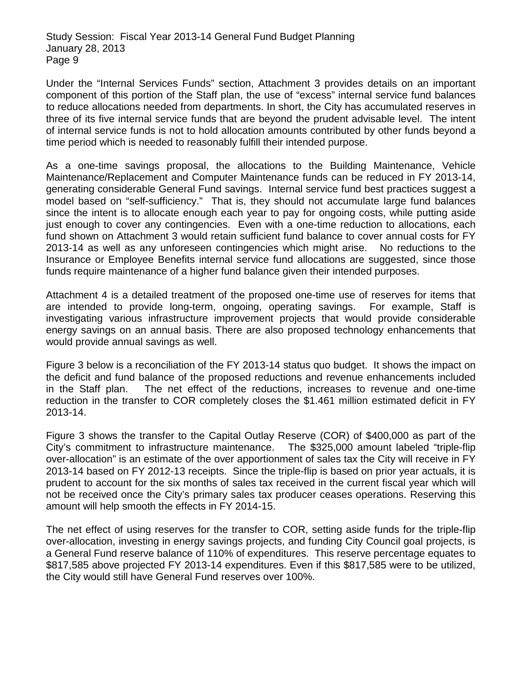Under the "Internal Services Funds" section, Attachment 3 provides details on an important component of this portion of the Staff plan, the use of "excess" internal service fund balances to reduce allocations needed from departments. In short, the City has accumulated reserves in three of its five internal service funds that are beyond the prudent advisable level. The intent of internal service funds is not to hold allocation amounts contributed by other funds beyond a time period which is needed to reasonably fulfill their intended purpose.

As a one-time savings proposal, the allocations to the Building Maintenance, Vehicle Maintenance/Replacement and Computer Maintenance funds can be reduced in FY 2013-14, generating considerable General Fund savings. Internal service fund best practices suggest a model based on "self-sufficiency." That is, they should not accumulate large fund balances since the intent is to allocate enough each year to pay for ongoing costs, while putting aside just enough to cover any contingencies. Even with a one-time reduction to allocations, each fund shown on Attachment 3 would retain sufficient fund balance to cover annual costs for FY 2013-14 as well as any unforeseen contingencies which might arise. No reductions to the Insurance or Employee Benefits internal service fund allocations are suggested, since those funds require maintenance of a higher fund balance given their intended purposes.

Attachment 4 is a detailed treatment of the proposed one-time use of reserves for items that are intended to provide long-term, ongoing, operating savings. For example, Staff is investigating various infrastructure improvement projects that would provide considerable energy savings on an annual basis. There are also proposed technology enhancements that would provide annual savings as well.

Figure 3 below is a reconciliation of the FY 2013-14 status quo budget. It shows the impact on the deficit and fund balance of the proposed reductions and revenue enhancements included in the Staff plan. The net effect of the reductions, increases to revenue and one-time reduction in the transfer to COR completely closes the \$1.461 million estimated deficit in FY 2013-14.

Figure 3 shows the transfer to the Capital Outlay Reserve (COR) of \$400,000 as part of the City's commitment to infrastructure maintenance. The \$325,000 amount labeled "triple-flip over-allocation" is an estimate of the over apportionment of sales tax the City will receive in FY 2013-14 based on FY 2012-13 receipts. Since the triple-flip is based on prior year actuals, it is prudent to account for the six months of sales tax received in the current fiscal year which will not be received once the City's primary sales tax producer ceases operations. Reserving this amount will help smooth the effects in FY 2014-15.

The net effect of using reserves for the transfer to COR, setting aside funds for the triple-flip over-allocation, investing in energy savings projects, and funding City Council goal projects, is a General Fund reserve balance of 110% of expenditures. This reserve percentage equates to \$817,585 above projected FY 2013-14 expenditures. Even if this \$817,585 were to be utilized, the City would still have General Fund reserves over 100%.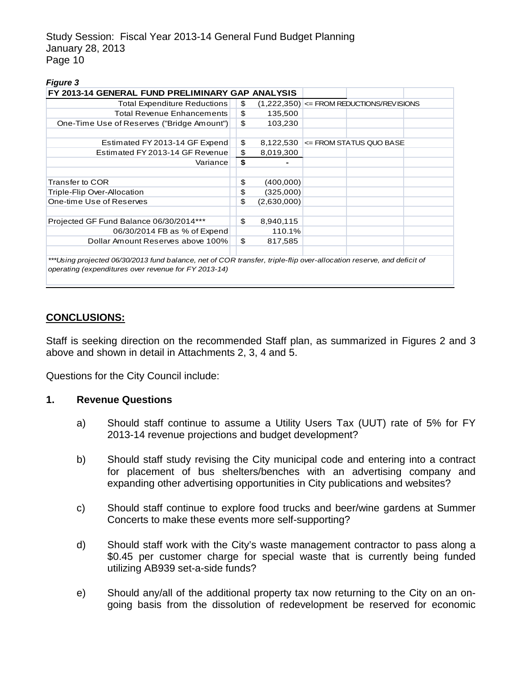#### *Figure 3*

| FY 2013-14 GENERAL FUND PRELIMINARY GAP ANALYSIS                                                                     |    |             |                                                |
|----------------------------------------------------------------------------------------------------------------------|----|-------------|------------------------------------------------|
| <b>Total Expenditure Reductions</b>                                                                                  | \$ |             | $(1,222,350)$ $\leq$ FROM REDUCTIONS/REVISIONS |
| <b>Total Revenue Enhancements</b>                                                                                    | \$ | 135,500     |                                                |
| One-Time Use of Reserves ("Bridge Amount")                                                                           | \$ | 103,230     |                                                |
|                                                                                                                      |    |             |                                                |
| Estimated FY 2013-14 GF Expend                                                                                       | \$ | 8,122,530   | <= FROM STATUS QUO BASE                        |
| Estimated FY 2013-14 GF Revenue                                                                                      | \$ | 8,019,300   |                                                |
| Variance                                                                                                             | \$ |             |                                                |
|                                                                                                                      |    |             |                                                |
| Transfer to COR                                                                                                      | \$ | (400,000)   |                                                |
| Triple-Flip Over-Allocation                                                                                          | \$ | (325,000)   |                                                |
| One-time Use of Reserves                                                                                             | \$ | (2,630,000) |                                                |
|                                                                                                                      |    |             |                                                |
| Projected GF Fund Balance 06/30/2014***                                                                              | \$ | 8,940,115   |                                                |
| 06/30/2014 FB as % of Expend                                                                                         |    | 110.1%      |                                                |
| Dollar Amount Reserves above 100%                                                                                    | \$ | 817,585     |                                                |
|                                                                                                                      |    |             |                                                |
| ***Using projected 06/30/2013 fund balance, net of COR transfer, triple-flip over-allocation reserve, and deficit of |    |             |                                                |
| operating (expenditures over revenue for FY 2013-14)                                                                 |    |             |                                                |
|                                                                                                                      |    |             |                                                |

### **CONCLUSIONS:**

Staff is seeking direction on the recommended Staff plan, as summarized in Figures 2 and 3 above and shown in detail in Attachments 2, 3, 4 and 5.

Questions for the City Council include:

### **1. Revenue Questions**

- a) Should staff continue to assume a Utility Users Tax (UUT) rate of 5% for FY 2013-14 revenue projections and budget development?
- b) Should staff study revising the City municipal code and entering into a contract for placement of bus shelters/benches with an advertising company and expanding other advertising opportunities in City publications and websites?
- c) Should staff continue to explore food trucks and beer/wine gardens at Summer Concerts to make these events more self-supporting?
- d) Should staff work with the City's waste management contractor to pass along a \$0.45 per customer charge for special waste that is currently being funded utilizing AB939 set-a-side funds?
- e) Should any/all of the additional property tax now returning to the City on an ongoing basis from the dissolution of redevelopment be reserved for economic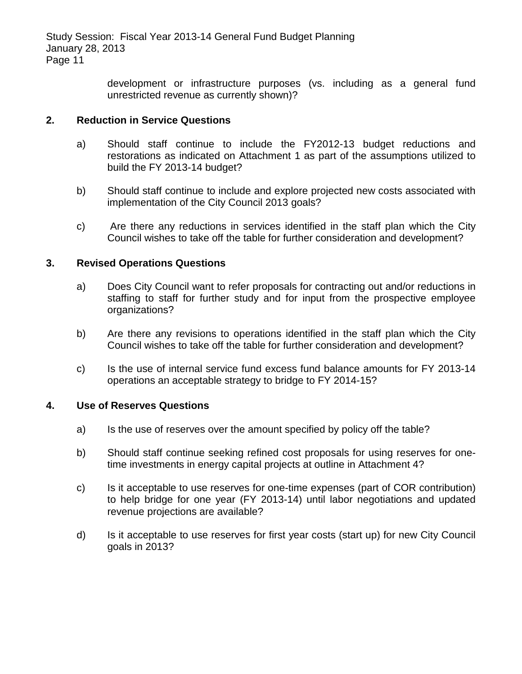> development or infrastructure purposes (vs. including as a general fund unrestricted revenue as currently shown)?

### **2. Reduction in Service Questions**

- a) Should staff continue to include the FY2012-13 budget reductions and restorations as indicated on Attachment 1 as part of the assumptions utilized to build the FY 2013-14 budget?
- b) Should staff continue to include and explore projected new costs associated with implementation of the City Council 2013 goals?
- c) Are there any reductions in services identified in the staff plan which the City Council wishes to take off the table for further consideration and development?

### **3. Revised Operations Questions**

- a) Does City Council want to refer proposals for contracting out and/or reductions in staffing to staff for further study and for input from the prospective employee organizations?
- b) Are there any revisions to operations identified in the staff plan which the City Council wishes to take off the table for further consideration and development?
- c) Is the use of internal service fund excess fund balance amounts for FY 2013-14 operations an acceptable strategy to bridge to FY 2014-15?

### **4. Use of Reserves Questions**

- a) Is the use of reserves over the amount specified by policy off the table?
- b) Should staff continue seeking refined cost proposals for using reserves for onetime investments in energy capital projects at outline in Attachment 4?
- c) Is it acceptable to use reserves for one-time expenses (part of COR contribution) to help bridge for one year (FY 2013-14) until labor negotiations and updated revenue projections are available?
- d) Is it acceptable to use reserves for first year costs (start up) for new City Council goals in 2013?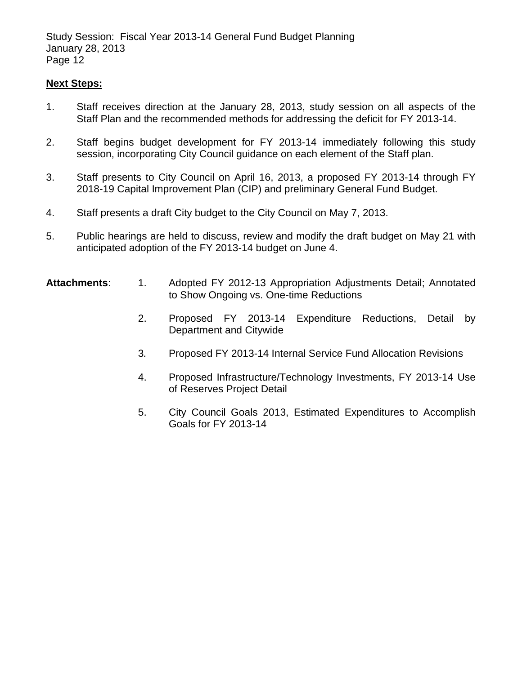### **Next Steps:**

- 1. Staff receives direction at the January 28, 2013, study session on all aspects of the Staff Plan and the recommended methods for addressing the deficit for FY 2013-14.
- 2. Staff begins budget development for FY 2013-14 immediately following this study session, incorporating City Council guidance on each element of the Staff plan.
- 3. Staff presents to City Council on April 16, 2013, a proposed FY 2013-14 through FY 2018-19 Capital Improvement Plan (CIP) and preliminary General Fund Budget.
- 4. Staff presents a draft City budget to the City Council on May 7, 2013.
- 5. Public hearings are held to discuss, review and modify the draft budget on May 21 with anticipated adoption of the FY 2013-14 budget on June 4.

### **Attachments**: 1. Adopted FY 2012-13 Appropriation Adjustments Detail; Annotated to Show Ongoing vs. One-time Reductions

- 2. Proposed FY 2013-14 Expenditure Reductions, Detail by Department and Citywide
- 3*.* Proposed FY 2013-14 Internal Service Fund Allocation Revisions
- 4. Proposed Infrastructure/Technology Investments, FY 2013-14 Use of Reserves Project Detail
- 5. City Council Goals 2013, Estimated Expenditures to Accomplish Goals for FY 2013-14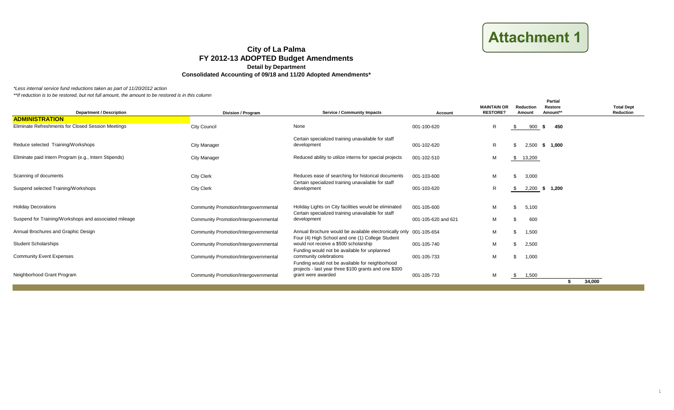**Attachment 1** 

*\*Less internal service fund reductions taken as part of 11/20/2012 action*

| <b>Department / Description</b>                       | <b>Division / Program</b>             | <b>Service / Community Impacts</b>                                                                                                        | Account             | <b>MAINTAIN OR</b><br><b>RESTORE?</b> | Reduction<br>Amount | <b>Partial</b><br>Restore<br>Amount** | <b>Total Dept</b><br>Reduction |
|-------------------------------------------------------|---------------------------------------|-------------------------------------------------------------------------------------------------------------------------------------------|---------------------|---------------------------------------|---------------------|---------------------------------------|--------------------------------|
| <b>ADMINISTRATION</b>                                 |                                       |                                                                                                                                           |                     |                                       |                     |                                       |                                |
| Eliminate Refreshments for Closed Session Meetings    | <b>City Council</b>                   | None                                                                                                                                      | 001-100-620         | R                                     | 900<br>\$           | 450<br>- 56                           |                                |
| Reduce selected Training/Workshops                    | <b>City Manager</b>                   | Certain specialized training unavailable for staff<br>development                                                                         | 001-102-620         | R                                     | 2,500<br>\$         | \$ 1,000                              |                                |
| Eliminate paid Intern Program (e.g., Intern Stipends) | <b>City Manager</b>                   | Reduced ability to utilize interns for special projects                                                                                   | 001-102-510         | м                                     | \$<br>13,200        |                                       |                                |
|                                                       |                                       |                                                                                                                                           |                     |                                       |                     |                                       |                                |
| Scanning of documents                                 | <b>City Clerk</b>                     | Reduces ease of searching for historical documents<br>Certain specialized training unavailable for staff                                  | 001-103-600         | M                                     | 3,000<br>\$         |                                       |                                |
| Suspend selected Training/Workshops                   | <b>City Clerk</b>                     | development                                                                                                                               | 001-103-620         | R                                     | 2,200<br>\$         | \$ 1,200                              |                                |
|                                                       |                                       |                                                                                                                                           |                     |                                       |                     |                                       |                                |
| <b>Holiday Decorations</b>                            | Community Promotion/Intergovernmental | Holiday Lights on City facilities would be eliminated                                                                                     | 001-105-600         | M                                     | 5,100<br>\$         |                                       |                                |
| Suspend for Training/Workshops and associated mileage | Community Promotion/Intergovernmental | Certain specialized training unavailable for staff<br>development                                                                         | 001-105-620 and 621 | М                                     | 600<br>\$           |                                       |                                |
| Annual Brochures and Graphic Design                   | Community Promotion/Intergovernmental | Annual Brochure would be available electronically only 001-105-654                                                                        |                     | M                                     | 1,500<br>\$         |                                       |                                |
| <b>Student Scholarships</b>                           | Community Promotion/Intergovernmental | Four (4) High School and one (1) College Student<br>would not receive a \$500 scholarship<br>Funding would not be available for unplanned | 001-105-740         | M                                     | 2,500<br>\$         |                                       |                                |
| <b>Community Event Expenses</b>                       | Community Promotion/Intergovernmental | community celebrations                                                                                                                    | 001-105-733         | M                                     | 1,000<br>\$         |                                       |                                |
| Neighborhood Grant Program                            | Community Promotion/Intergovernmental | Funding would not be available for neighborhood<br>projects - last year three \$100 grants and one \$300<br>grant were awarded            | 001-105-733         | M                                     | 1,500<br>\$         |                                       | 34,000                         |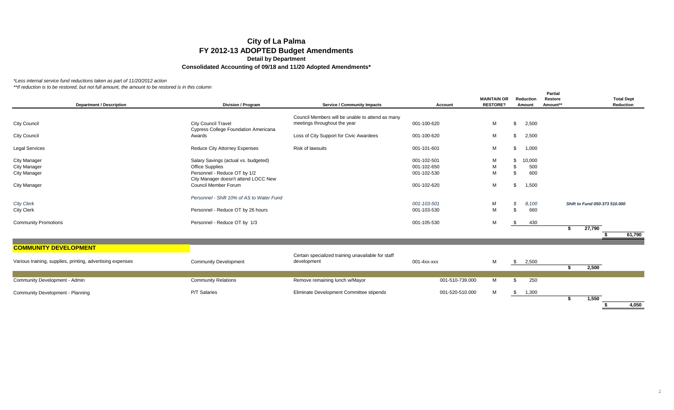*\*Less internal service fund reductions taken as part of 11/20/2012 action*

*\*\*If reduction is to be restored, but not full amount, the amount to be restored is in this column*

| <b>Department / Description</b>                            | Division / Program                                                   | <b>Service / Community Impacts</b>                                               | Account         | <b>MAINTAIN OR</b><br><b>RESTORE?</b> | <b>Reduction</b><br>Amount | <b>Partial</b><br>Restore<br>Amount** | <b>Total Dept</b><br>Reduction |
|------------------------------------------------------------|----------------------------------------------------------------------|----------------------------------------------------------------------------------|-----------------|---------------------------------------|----------------------------|---------------------------------------|--------------------------------|
|                                                            |                                                                      |                                                                                  |                 |                                       |                            |                                       |                                |
| <b>City Council</b>                                        | <b>City Council Travel</b>                                           | Council Members will be unable to attend as many<br>meetings throughout the year | 001-100-620     | м                                     | 2,500<br>\$                |                                       |                                |
| <b>City Council</b>                                        | <b>Cypress College Foundation Americana</b><br>Awards                | Loss of City Support for Civic Awardees                                          | 001-100-620     | м                                     | 2,500<br>\$                |                                       |                                |
| <b>Legal Services</b>                                      | <b>Reduce City Attorney Expenses</b>                                 | <b>Risk of lawsuits</b>                                                          | 001-101-601     | М                                     | 1,000<br>\$                |                                       |                                |
| <b>City Manager</b>                                        | Salary Savings (actual vs. budgeted)                                 |                                                                                  | 001-102-501     | M                                     | 10,000<br>S                |                                       |                                |
| <b>City Manager</b>                                        | <b>Office Supplies</b>                                               |                                                                                  | 001-102-650     | M                                     | 500<br>\$                  |                                       |                                |
| <b>City Manager</b>                                        | Personnel - Reduce OT by 1/2<br>City Manager doesn't attend LOCC New |                                                                                  | 001-102-530     | M                                     | 600                        |                                       |                                |
| <b>City Manager</b>                                        | <b>Council Member Forum</b>                                          |                                                                                  | 001-102-620     | М                                     | 1,500<br>\$                |                                       |                                |
|                                                            | Personnel - Shift 10% of AS to Water Fund                            |                                                                                  |                 |                                       |                            |                                       |                                |
| <b>City Clerk</b>                                          |                                                                      |                                                                                  | 001-103-501     | М                                     | S<br>8,100                 |                                       | Shift to Fund 050-373 510.000  |
| <b>City Clerk</b>                                          | Personnel - Reduce OT by 26 hours                                    |                                                                                  | 001-103-530     | M                                     | 660                        |                                       |                                |
| <b>Community Promotions</b>                                | Personnel - Reduce OT by 1/3                                         |                                                                                  | 001-105-530     | М                                     | 430<br>\$                  |                                       | 27,790<br>-\$                  |
|                                                            |                                                                      |                                                                                  |                 |                                       |                            |                                       | 61,790                         |
| <b>COMMUNITY DEVELOPMENT</b>                               |                                                                      |                                                                                  |                 |                                       |                            |                                       |                                |
| Various training, supplies, printing, advertising expenses | <b>Community Development</b>                                         | Certain specialized training unavailable for staff<br>development                | 001-4xx-xxx     | М                                     | 2,500<br>\$                |                                       | 2,500<br>s.                    |
| Community Development - Admin                              | <b>Community Relations</b>                                           | Remove remaining lunch w/Mayor                                                   | 001-510-739.000 | м                                     | 250<br>\$                  |                                       |                                |
|                                                            |                                                                      |                                                                                  |                 |                                       |                            |                                       |                                |
| Community Development - Planning                           | P/T Salaries                                                         | Eliminate Development Committee stipends                                         | 001-520-510.000 | M                                     | 1,300<br>\$                |                                       | 1,550                          |

**\$ 4,050**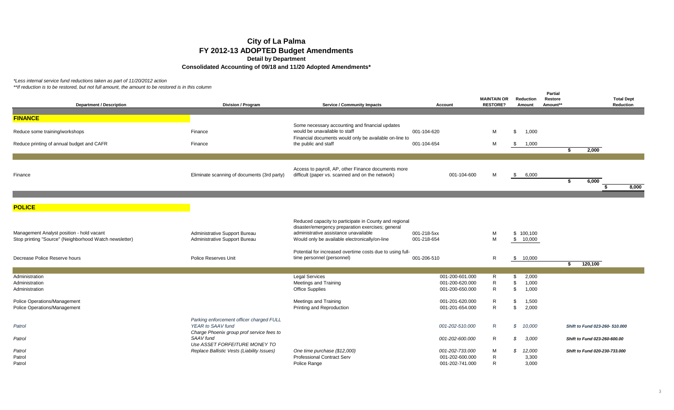*\*Less internal service fund reductions taken as part of 11/20/2012 action*

|                                                        |                                                                             |                                                                                  |                 |                    |                 | <b>Partial</b> |                                |
|--------------------------------------------------------|-----------------------------------------------------------------------------|----------------------------------------------------------------------------------|-----------------|--------------------|-----------------|----------------|--------------------------------|
|                                                        |                                                                             |                                                                                  |                 | <b>MAINTAIN OR</b> | Reduction       | Restore        | <b>Total Dept</b>              |
| <b>Department / Description</b>                        | <b>Division / Program</b>                                                   | <b>Service / Community Impacts</b>                                               | Account         | <b>RESTORE?</b>    | Amount          | Amount**       | Reduction                      |
|                                                        |                                                                             |                                                                                  |                 |                    |                 |                |                                |
| <b>FINANCE</b>                                         |                                                                             |                                                                                  |                 |                    |                 |                |                                |
|                                                        |                                                                             | Some necessary accounting and financial updates<br>would be unavailable to staff |                 |                    |                 |                |                                |
| Reduce some training/workshops                         | Finance                                                                     |                                                                                  | 001-104-620     | м                  | 1,000<br>\$     |                |                                |
| Reduce printing of annual budget and CAFR              | Finance                                                                     | Financial documents would only be available on-line to<br>the public and staff   | 001-104-654     | M                  | 1,000<br>\$     |                |                                |
|                                                        |                                                                             |                                                                                  |                 |                    |                 |                | 2,000<br>s.                    |
|                                                        |                                                                             |                                                                                  |                 |                    |                 |                |                                |
|                                                        |                                                                             |                                                                                  |                 |                    |                 |                |                                |
|                                                        |                                                                             | Access to payroll, AP, other Finance documents more                              |                 |                    |                 |                |                                |
| Finance                                                | Eliminate scanning of documents (3rd party)                                 | difficult (paper vs. scanned and on the network)                                 | 001-104-600     | M                  | 6,000<br>\$     |                |                                |
|                                                        |                                                                             |                                                                                  |                 |                    |                 |                | \$<br>6,000                    |
|                                                        |                                                                             |                                                                                  |                 |                    |                 |                | S,<br>8,000                    |
|                                                        |                                                                             |                                                                                  |                 |                    |                 |                |                                |
| <b>POLICE</b>                                          |                                                                             |                                                                                  |                 |                    |                 |                |                                |
|                                                        |                                                                             |                                                                                  |                 |                    |                 |                |                                |
|                                                        |                                                                             | Reduced capacity to participate in County and regional                           |                 |                    |                 |                |                                |
|                                                        |                                                                             | disaster/emergency preparation exercises; general                                |                 |                    |                 |                |                                |
| Management Analyst position - hold vacant              | Administrative Support Bureau                                               | administrative assistance unavailable                                            | 001-218-5xx     | M                  | \$100,100       |                |                                |
| Stop printing "Source" (Neighborhood Watch newsletter) | Administrative Support Bureau                                               | Would only be available electronically/on-line                                   | 001-218-654     | M                  | \$10,000        |                |                                |
|                                                        |                                                                             |                                                                                  |                 |                    |                 |                |                                |
|                                                        |                                                                             | Potential for increased overtime costs due to using full-                        |                 |                    |                 |                |                                |
| Decrease Police Reserve hours                          | <b>Police Reserves Unit</b>                                                 | time personnel (personnel)                                                       | 001-206-510     | R                  | 10,000<br>\$    |                |                                |
|                                                        |                                                                             |                                                                                  |                 |                    |                 |                | 120,100<br>\$                  |
| Administration                                         |                                                                             | <b>Legal Services</b>                                                            | 001-200-601.000 | R                  | 2,000<br>S      |                |                                |
| Administration                                         |                                                                             | <b>Meetings and Training</b>                                                     | 001-200-620.000 | R                  | 1,000<br>\$     |                |                                |
| Administration                                         |                                                                             | <b>Office Supplies</b>                                                           | 001-200-650.000 | R                  | 1,000<br>\$     |                |                                |
|                                                        |                                                                             |                                                                                  |                 |                    |                 |                |                                |
| Police Operations/Management                           |                                                                             | <b>Meetings and Training</b>                                                     | 001-201-620.000 | R                  | \$<br>1,500     |                |                                |
| Police Operations/Management                           |                                                                             | Printing and Reproduction                                                        | 001-201-654.000 | R                  | 2,000<br>\$     |                |                                |
|                                                        |                                                                             |                                                                                  |                 |                    |                 |                |                                |
|                                                        | Parking enforcement officer charged FULL                                    |                                                                                  |                 |                    |                 |                |                                |
| Patrol                                                 | YEAR to SAAV fund                                                           |                                                                                  | 001-202-510.000 | R                  | \$<br>10,000    |                | Shift to Fund 023-260- 510.000 |
|                                                        | Charge Phoenix group prof service fees to                                   |                                                                                  |                 |                    |                 |                |                                |
| Patrol                                                 | SAAV fund                                                                   |                                                                                  | 001-202-600.000 | R                  | 3,000<br>\$     |                | Shift to Fund 023-260-600.00   |
|                                                        | Use ASSET FORFEITURE MONEY TO<br>Replace Ballistic Vests (Liability Issues) | One time purchase (\$12,000)                                                     | 001-202-733.000 | M                  | S               |                | Shift to Fund 020-230-733.000  |
| Patrol<br>Patrol                                       |                                                                             | <b>Professional Contract Serv</b>                                                | 001-202-600.000 | R                  | 12,000<br>3,300 |                |                                |
| Patrol                                                 |                                                                             | Police Range                                                                     | 001-202-741.000 | R                  | 3,000           |                |                                |
|                                                        |                                                                             |                                                                                  |                 |                    |                 |                |                                |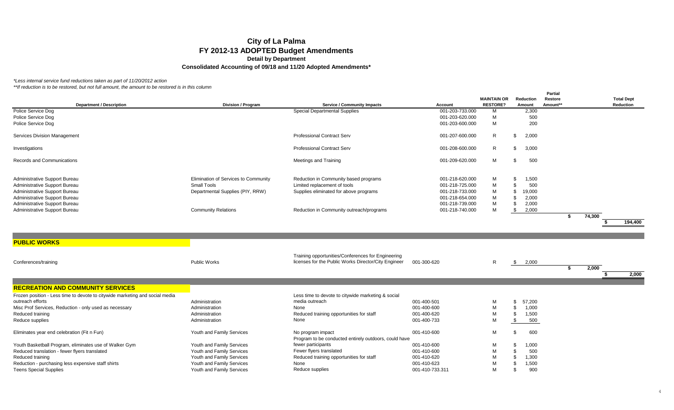*\*Less internal service fund reductions taken as part of 11/20/2012 action*

| <b>Department / Description</b>                                              | Division / Program                   | <b>Service / Community Impacts</b>                    | <b>Account</b>  | <b>MAINTAIN OR</b><br><b>RESTORE?</b> | <b>Reduction</b><br>Amount | <b>Partial</b><br><b>Restore</b><br>Amount** |        | <b>Total Dept</b><br>Reduction |
|------------------------------------------------------------------------------|--------------------------------------|-------------------------------------------------------|-----------------|---------------------------------------|----------------------------|----------------------------------------------|--------|--------------------------------|
| Police Service Dog                                                           |                                      | <b>Special Departmental Supplies</b>                  | 001-203-733.000 | М                                     | 2,300                      |                                              |        |                                |
| Police Service Dog                                                           |                                      |                                                       | 001-203-620.000 | M                                     | 500                        |                                              |        |                                |
| Police Service Dog                                                           |                                      |                                                       | 001-203-600.000 | М                                     | 200                        |                                              |        |                                |
|                                                                              |                                      |                                                       |                 |                                       |                            |                                              |        |                                |
| <b>Services Division Management</b>                                          |                                      | <b>Professional Contract Serv</b>                     | 001-207-600.000 | $\mathsf{R}$                          | \$<br>2,000                |                                              |        |                                |
| Investigations                                                               |                                      | <b>Professional Contract Serv</b>                     | 001-208-600.000 | $\mathsf{R}$                          | \$<br>3,000                |                                              |        |                                |
| <b>Records and Communications</b>                                            |                                      | Meetings and Training                                 | 001-209-620.000 | M                                     | 500<br>\$                  |                                              |        |                                |
| Administrative Support Bureau                                                | Elimination of Services to Community | Reduction in Community based programs                 | 001-218-620.000 | M                                     | \$<br>1,500                |                                              |        |                                |
| Administrative Support Bureau                                                | <b>Small Tools</b>                   | Limited replacement of tools                          | 001-218-725.000 | M                                     | \$<br>500                  |                                              |        |                                |
| Administrative Support Bureau                                                | Departmental Supplies (PIY, RRW)     | Supplies eliminated for above programs                | 001-218-733.000 | M                                     | \$<br>19,000               |                                              |        |                                |
| Administrative Support Bureau                                                |                                      |                                                       | 001-218-654.000 | M                                     | \$<br>2,000                |                                              |        |                                |
| Administrative Support Bureau                                                |                                      |                                                       | 001-218-739.000 | M                                     | \$<br>2,000                |                                              |        |                                |
| Administrative Support Bureau                                                | <b>Community Relations</b>           | Reduction in Community outreach/programs              | 001-218-740.000 | M                                     | \$<br>2,000                |                                              |        |                                |
|                                                                              |                                      |                                                       |                 |                                       |                            | s.                                           | 74,300 |                                |
|                                                                              |                                      |                                                       |                 |                                       |                            |                                              |        | 194,400                        |
|                                                                              |                                      |                                                       |                 |                                       |                            |                                              |        |                                |
|                                                                              |                                      |                                                       |                 |                                       |                            |                                              |        |                                |
| <b>PUBLIC WORKS</b>                                                          |                                      |                                                       |                 |                                       |                            |                                              |        |                                |
|                                                                              |                                      |                                                       |                 |                                       |                            |                                              |        |                                |
|                                                                              |                                      | Training opportunities/Conferences for Engineering    |                 |                                       |                            |                                              |        |                                |
| Conferences/training                                                         | <b>Public Works</b>                  | licenses for the Public Works Director/City Engineer  | 001-300-620     | $\mathsf{R}$                          | \$<br>2,000                |                                              |        |                                |
|                                                                              |                                      |                                                       |                 |                                       |                            | \$                                           | 2,000  |                                |
|                                                                              |                                      |                                                       |                 |                                       |                            |                                              |        | 2.000<br>Ŝ.                    |
|                                                                              |                                      |                                                       |                 |                                       |                            |                                              |        |                                |
| <b>RECREATION AND COMMUNITY SERVICES</b>                                     |                                      |                                                       |                 |                                       |                            |                                              |        |                                |
| Frozen position - Less time to devote to citywide marketing and social media |                                      | Less time to devote to citywide marketing & social    |                 |                                       |                            |                                              |        |                                |
| outreach efforts                                                             | Administration                       | media outreach                                        | 001-400-501     | M                                     | \$<br>57,200               |                                              |        |                                |
| Misc Prof Services, Reduction - only used as necessary                       | Administration                       | None                                                  | 001-400-600     | M                                     | \$<br>1,000                |                                              |        |                                |
| Reduced training                                                             | Administration                       | Reduced training opportunities for staff              | 001-400-620     | M                                     | \$<br>1,500                |                                              |        |                                |
| Reduce supplies                                                              | Administration                       | None                                                  | 001-400-733     | M                                     | \$<br>500                  |                                              |        |                                |
|                                                                              |                                      |                                                       |                 |                                       |                            |                                              |        |                                |
| Eliminates year end celebration (Fit n Fun)                                  | Youth and Family Services            | No program impact                                     | 001-410-600     | М                                     | \$<br>600                  |                                              |        |                                |
|                                                                              |                                      | Program to be conducted entirely outdoors, could have |                 |                                       |                            |                                              |        |                                |
| Youth Basketball Program, eliminates use of Walker Gym                       | Youth and Family Services            | fewer participants                                    | 001-410-600     | M                                     | \$<br>1,000                |                                              |        |                                |
| Reduced translation - fewer flyers translated                                | Youth and Family Services            | Fewer flyers translated                               | 001-410-600     | M                                     | \$<br>500                  |                                              |        |                                |
| Reduced training                                                             | Youth and Family Services            | Reduced training opportunities for staff              | 001-410-620     | M                                     | \$<br>1,300                |                                              |        |                                |
| Reduction - purchasing less expensive staff shirts                           | Youth and Family Services            | None                                                  | 001-410-623     | M                                     | \$<br>1,500                |                                              |        |                                |
| <b>Teens Special Supplies</b>                                                | Youth and Family Services            | Reduce supplies                                       | 001-410-733.311 | M                                     | \$<br>900                  |                                              |        |                                |
|                                                                              |                                      |                                                       |                 |                                       |                            |                                              |        |                                |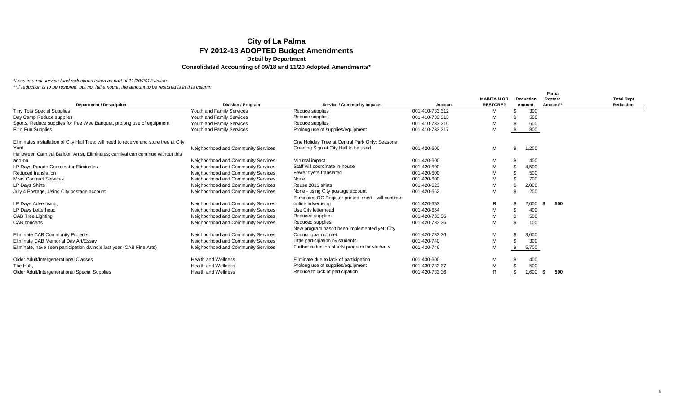*\*Less internal service fund reductions taken as part of 11/20/2012 action*

|                                                                                        |                                     |                                                       |                 |                    |    |           | <b>Partial</b> |                   |
|----------------------------------------------------------------------------------------|-------------------------------------|-------------------------------------------------------|-----------------|--------------------|----|-----------|----------------|-------------------|
|                                                                                        |                                     |                                                       |                 | <b>MAINTAIN OR</b> |    | Reduction | Restore        | <b>Total Dept</b> |
| <b>Department / Description</b>                                                        | <b>Division / Program</b>           | <b>Service / Community Impacts</b>                    | <b>Account</b>  | <b>RESTORE?</b>    |    | Amount    | Amount**       | <b>Reduction</b>  |
| <b>Tiny Tots Special Supplies</b>                                                      | Youth and Family Services           | Reduce supplies                                       | 001-410-733.312 | м                  |    | 300       |                |                   |
| Day Camp Reduce supplies                                                               | Youth and Family Services           | Reduce supplies                                       | 001-410-733.313 | M                  |    | 500       |                |                   |
| Sports, Reduce supplies for Pee Wee Banquet, prolong use of equipment                  | Youth and Family Services           | Reduce supplies                                       | 001-410-733.316 | M                  |    | 600       |                |                   |
| Fit n Fun Supplies                                                                     | Youth and Family Services           | Prolong use of supplies/equipment                     | 001-410-733.317 | M                  |    | 800       |                |                   |
| Eliminates installation of City Hall Tree; will need to receive and store tree at City |                                     | One Holiday Tree at Central Park Only; Seasons        |                 |                    |    |           |                |                   |
| Yard                                                                                   | Neighborhood and Community Services | Greeting Sign at City Hall to be used                 | 001-420-600     | M                  |    | 1,200     |                |                   |
| Halloween Carnival Balloon Artist, Eliminates; carnival can continue without this      |                                     |                                                       |                 |                    |    |           |                |                   |
| add-on                                                                                 | Neighborhood and Community Services | Minimal impact                                        | 001-420-600     | M                  |    | 400       |                |                   |
| LP Days Parade Coordinator Eliminates                                                  | Neighborhood and Community Services | Staff will coordinate in-house                        | 001-420-600     | M                  |    | 4,500     |                |                   |
| Reduced translation                                                                    | Neighborhood and Community Services | Fewer flyers translated                               | 001-420-600     | M                  |    | 500       |                |                   |
| <b>Misc. Contract Services</b>                                                         | Neighborhood and Community Services | None                                                  | 001-420-600     | M                  |    | 700       |                |                   |
| LP Days Shirts                                                                         | Neighborhood and Community Services | Reuse 2011 shirts                                     | 001-420-623     | M                  |    | 2,000     |                |                   |
| July 4 Postage, Using City postage account                                             | Neighborhood and Community Services | None - using City postage account                     | 001-420-652     | M                  |    | 200       |                |                   |
|                                                                                        |                                     | Eliminates OC Register printed insert - will continue |                 |                    |    |           |                |                   |
| LP Days Advertising,                                                                   | Neighborhood and Community Services | online advertising                                    | 001-420-653     | R                  | æ  | 2,000     | 500            |                   |
| LP Days Letterhead                                                                     | Neighborhood and Community Services | Use City letterhead                                   | 001-420-654     | M                  |    | 400       |                |                   |
| <b>CAB Tree Lighting</b>                                                               | Neighborhood and Community Services | Reduced supplies                                      | 001-420-733.36  | M                  |    | 500       |                |                   |
| CAB concerts                                                                           | Neighborhood and Community Services | Reduced supplies                                      | 001-420-733.36  | M                  |    | 100       |                |                   |
|                                                                                        |                                     | New program hasn't been implemented yet; City         |                 |                    |    |           |                |                   |
| <b>Eliminate CAB Community Projects</b>                                                | Neighborhood and Community Services | Council goal not met                                  | 001-420-733.36  | M                  |    | 3,000     |                |                   |
| Eliminate CAB Memorial Day Art/Essay                                                   | Neighborhood and Community Services | Little participation by students                      | 001-420-740     | M                  |    | 300       |                |                   |
| Eliminate, have seen participation dwindle last year (CAB Fine Arts)                   | Neighborhood and Community Services | Further reduction of arts program for students        | 001-420-746     | M                  | \$ | 5,700     |                |                   |
| <b>Older Adult/Intergenerational Classes</b>                                           | <b>Health and Wellness</b>          | Eliminate due to lack of participation                | 001-430-600     | M                  |    | 400       |                |                   |
| The Hub.                                                                               | <b>Health and Wellness</b>          | Prolong use of supplies/equipment                     | 001-430-733.37  | M                  |    | 500       |                |                   |
| Older Adult/Intergenerational Special Supplies                                         | <b>Health and Wellness</b>          | Reduce to lack of participation                       | 001-420-733.36  | R                  |    | 1,600     | 500            |                   |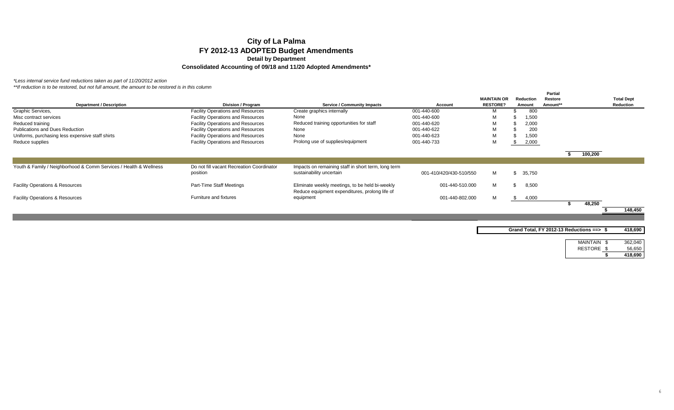*\*Less internal service fund reductions taken as part of 11/20/2012 action*

|                                                                   |                                                       |                                                                                                   |                         | <b>MAINTAIN OR</b> | <b>Reduction</b> | <b>Partial</b><br>Restore |         | <b>Total Dept</b> |
|-------------------------------------------------------------------|-------------------------------------------------------|---------------------------------------------------------------------------------------------------|-------------------------|--------------------|------------------|---------------------------|---------|-------------------|
| Department / Description                                          | Division / Program                                    | <b>Service / Community Impacts</b>                                                                | Account                 | <b>RESTORE?</b>    | Amount           | Amount**                  |         | Reduction         |
| Graphic Services,                                                 | <b>Facility Operations and Resources</b>              | Create graphics internally                                                                        | 001-440-600             | м                  | 800              |                           |         |                   |
| Misc contract services                                            | <b>Facility Operations and Resources</b>              | None                                                                                              | 001-440-600             | M                  | 1,500            |                           |         |                   |
| Reduced training                                                  | <b>Facility Operations and Resources</b>              | Reduced training opportunities for staff                                                          | 001-440-620             | M                  | 2,000            |                           |         |                   |
| Publications and Dues Reduction                                   | <b>Facility Operations and Resources</b>              | None                                                                                              | 001-440-622             | M                  | 200              |                           |         |                   |
| Uniforms, purchasing less expensive staff shirts                  | <b>Facility Operations and Resources</b>              | None                                                                                              | 001-440-623             | М                  | 1,500            |                           |         |                   |
| Reduce supplies                                                   | <b>Facility Operations and Resources</b>              | Prolong use of supplies/equipment                                                                 | 001-440-733             | М                  | 2,000            |                           |         |                   |
|                                                                   |                                                       |                                                                                                   |                         |                    |                  |                           | 100,200 |                   |
|                                                                   |                                                       |                                                                                                   |                         |                    |                  |                           |         |                   |
| Youth & Family / Neighborhood & Comm Services / Health & Wellness | Do not fill vacant Recreation Coordinator<br>position | Impacts on remaining staff in short term, long term<br>sustainability uncertain                   | 001-410/420/430-510/550 | м                  | 35.750           |                           |         |                   |
| <b>Facility Operations &amp; Resources</b>                        | Part-Time Staff Meetings                              | Eliminate weekly meetings, to be held bi-weekly<br>Reduce equipment expenditures, prolong life of | 001-440-510.000         | M                  | 8,500            |                           |         |                   |
| <b>Facility Operations &amp; Resources</b>                        | Furniture and fixtures                                | equipment                                                                                         | 001-440-802.000         | M                  | 4,000<br>- 30    |                           |         |                   |
|                                                                   |                                                       |                                                                                                   |                         |                    |                  |                           | 48.250  |                   |
|                                                                   |                                                       |                                                                                                   |                         |                    |                  |                           |         | 148,450           |

| Grand Total, FY 2012-13 Reductions ==> \$ |                 | 418,690 |
|-------------------------------------------|-----------------|---------|
|                                           | <b>MAINTAIN</b> | 362.040 |
|                                           | <b>RESTORE</b>  | 56,650  |
|                                           |                 | 418,690 |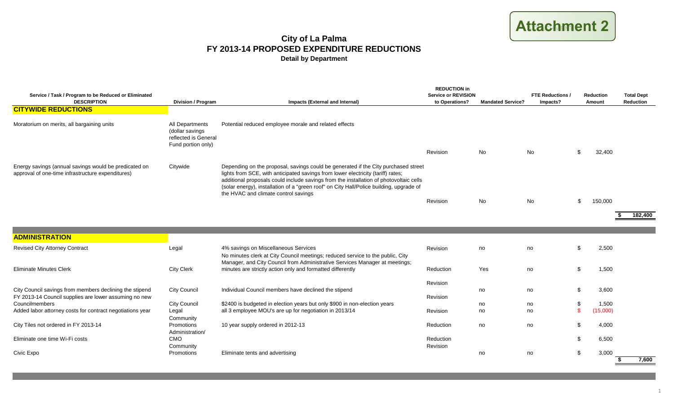# **ATTACHMENT 2 Attachment 2**

## **City of La Palma FY 2013-14 PROPOSED EXPENDITURE REDUCTIONS Detail by Department**

| Service / Task / Program to be Reduced or Eliminated<br><b>DESCRIPTION</b>                                       | <b>Division / Program</b>                                                        | Impacts (External and Internal)                                                                                                                                                                                                                                                                                                                                                                     | <b>REDUCTION in</b><br><b>Service or REVISION</b><br>to Operations? | <b>Mandated Service?</b> | <b>FTE Reductions /</b><br>Impacts? |              | <b>Reduction</b><br>Amount | <b>Total Dept</b><br>Reduction |
|------------------------------------------------------------------------------------------------------------------|----------------------------------------------------------------------------------|-----------------------------------------------------------------------------------------------------------------------------------------------------------------------------------------------------------------------------------------------------------------------------------------------------------------------------------------------------------------------------------------------------|---------------------------------------------------------------------|--------------------------|-------------------------------------|--------------|----------------------------|--------------------------------|
| <b>CITYWIDE REDUCTIONS</b>                                                                                       |                                                                                  |                                                                                                                                                                                                                                                                                                                                                                                                     |                                                                     |                          |                                     |              |                            |                                |
|                                                                                                                  |                                                                                  |                                                                                                                                                                                                                                                                                                                                                                                                     |                                                                     |                          |                                     |              |                            |                                |
| Moratorium on merits, all bargaining units                                                                       | All Departments<br>(dollar savings<br>reflected is General<br>Fund portion only) | Potential reduced employee morale and related effects                                                                                                                                                                                                                                                                                                                                               |                                                                     |                          |                                     |              |                            |                                |
|                                                                                                                  |                                                                                  |                                                                                                                                                                                                                                                                                                                                                                                                     | Revision                                                            | No                       | No                                  | \$           | 32,400                     |                                |
| Energy savings (annual savings would be predicated on<br>approval of one-time infrastructure expenditures)       | Citywide                                                                         | Depending on the proposal, savings could be generated if the City purchased street<br>lights from SCE, with anticipated savings from lower electricity (tariff) rates;<br>additional proposals could include savings from the installation of photovoltaic cells<br>(solar energy), installation of a "green roof" on City Hall/Police building, upgrade of<br>the HVAC and climate control savings |                                                                     |                          |                                     |              |                            |                                |
|                                                                                                                  |                                                                                  |                                                                                                                                                                                                                                                                                                                                                                                                     | Revision                                                            | No                       | No                                  | \$           | 150,000                    |                                |
|                                                                                                                  |                                                                                  |                                                                                                                                                                                                                                                                                                                                                                                                     |                                                                     |                          |                                     |              |                            | 182,400                        |
|                                                                                                                  |                                                                                  |                                                                                                                                                                                                                                                                                                                                                                                                     |                                                                     |                          |                                     |              |                            |                                |
| <b>ADMINISTRATION</b>                                                                                            |                                                                                  |                                                                                                                                                                                                                                                                                                                                                                                                     |                                                                     |                          |                                     |              |                            |                                |
| <b>Revised City Attorney Contract</b>                                                                            | Legal                                                                            | 4% savings on Miscellaneous Services                                                                                                                                                                                                                                                                                                                                                                | Revision                                                            | no                       | no                                  | \$           | 2,500                      |                                |
|                                                                                                                  |                                                                                  | No minutes clerk at City Council meetings; reduced service to the public, City<br>Manager, and City Council from Administrative Services Manager at meetings;                                                                                                                                                                                                                                       |                                                                     |                          |                                     |              |                            |                                |
| <b>Eliminate Minutes Clerk</b>                                                                                   | <b>City Clerk</b>                                                                | minutes are strictly action only and formatted differently                                                                                                                                                                                                                                                                                                                                          | Reduction                                                           | Yes                      | no                                  | \$           | 1,500                      |                                |
|                                                                                                                  |                                                                                  |                                                                                                                                                                                                                                                                                                                                                                                                     | Revision                                                            |                          |                                     |              |                            |                                |
| City Council savings from members declining the stipend<br>FY 2013-14 Council supplies are lower assuming no new | <b>City Council</b>                                                              | Individual Council members have declined the stipend                                                                                                                                                                                                                                                                                                                                                | Revision                                                            | no                       | no                                  | \$           | 3,600                      |                                |
| Councilmembers                                                                                                   | City Council                                                                     | \$2400 is budgeted in election years but only \$900 in non-election years                                                                                                                                                                                                                                                                                                                           |                                                                     | no                       | no                                  | \$           | 1,500                      |                                |
| Added labor attorney costs for contract negotiations year                                                        | Legal<br>Community                                                               | all 3 employee MOU's are up for negotiation in 2013/14                                                                                                                                                                                                                                                                                                                                              | Revision                                                            | no                       | no                                  | $\mathbf{s}$ | (15,000)                   |                                |
| City Tiles not ordered in FY 2013-14                                                                             | Promotions<br>Administration/                                                    | 10 year supply ordered in 2012-13                                                                                                                                                                                                                                                                                                                                                                   | Reduction                                                           | no                       | no                                  | \$           | 4,000                      |                                |
| Eliminate one time Wi-Fi costs                                                                                   | CMO                                                                              |                                                                                                                                                                                                                                                                                                                                                                                                     | Reduction                                                           |                          |                                     | \$           | 6,500                      |                                |
| Civic Expo                                                                                                       | Community<br>Promotions                                                          | Eliminate tents and advertising                                                                                                                                                                                                                                                                                                                                                                     | Revision                                                            | no                       | no                                  | \$           | 3,000                      | 7.600<br>\$.                   |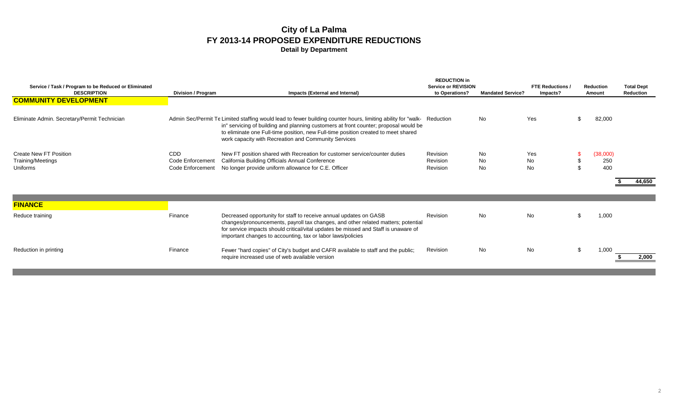| Service / Task / Program to be Reduced or Eliminated<br><b>DESCRIPTION</b><br><b>COMMUNITY DEVELOPMENT</b> | <b>Division / Program</b>                          | Impacts (External and Internal)                                                                                                                                                                                                                                                                                                                               | <b>REDUCTION in</b><br><b>Service or REVISION</b><br>to Operations? | <b>Mandated Service?</b> | <b>FTE Reductions /</b><br>Impacts? |     | <b>Reduction</b><br>Amount | <b>Total Dept</b><br>Reduction |
|------------------------------------------------------------------------------------------------------------|----------------------------------------------------|---------------------------------------------------------------------------------------------------------------------------------------------------------------------------------------------------------------------------------------------------------------------------------------------------------------------------------------------------------------|---------------------------------------------------------------------|--------------------------|-------------------------------------|-----|----------------------------|--------------------------------|
|                                                                                                            |                                                    |                                                                                                                                                                                                                                                                                                                                                               |                                                                     |                          |                                     |     |                            |                                |
| Eliminate Admin. Secretary/Permit Technician                                                               |                                                    | Admin Sec/Permit Te Limited staffing would lead to fewer building counter hours, limiting ability for "walk- Reduction"<br>in" servicing of building and planning customers at front counter; proposal would be<br>to eliminate one Full-time position, new Full-time position created to meet shared<br>work capacity with Recreation and Community Services |                                                                     | No                       | Yes                                 |     | 82,000                     |                                |
| Create New FT Position<br>Training/Meetings<br>Uniforms                                                    | <b>CDD</b><br>Code Enforcement<br>Code Enforcement | New FT position shared with Recreation for customer service/counter duties<br>California Building Officials Annual Conference<br>No longer provide uniform allowance for C.E. Officer                                                                                                                                                                         | Revision<br>Revision<br>Revision                                    | No.<br>No.<br>No.        | Yes<br><b>No</b><br>No              |     | (38,000)<br>250<br>400     |                                |
|                                                                                                            |                                                    |                                                                                                                                                                                                                                                                                                                                                               |                                                                     |                          |                                     |     |                            | 44,650                         |
| <b>FINANCE</b>                                                                                             |                                                    |                                                                                                                                                                                                                                                                                                                                                               |                                                                     |                          |                                     |     |                            |                                |
| Reduce training                                                                                            | Finance                                            | Decreased opportunity for staff to receive annual updates on GASB<br>changes/pronouncements, payroll tax changes, and other related matters; potential<br>for service impacts should critical/vital updates be missed and Staff is unaware of<br>important changes to accounting, tax or labor laws/policies                                                  | Revision                                                            | No.                      | No                                  |     | 1,000                      |                                |
| Reduction in printing                                                                                      | Finance                                            | Fewer "hard copies" of City's budget and CAFR available to staff and the public;<br>require increased use of web available version                                                                                                                                                                                                                            | Revision                                                            | No.                      | No                                  | \$. | 1.000                      | 2,000                          |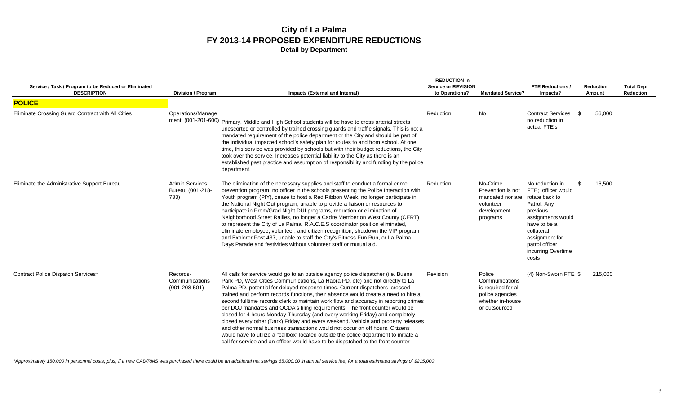| Service / Task / Program to be Reduced or Eliminated<br><b>DESCRIPTION</b> | <b>Division / Program</b>                         | Impacts (External and Internal)                                                                                                                                                                                                                                                                                                                                                                                                                                                                                                                                                                                                                                                                                                                                                                                                                                                                                                                   | <b>REDUCTION in</b><br><b>Service or REVISION</b><br>to Operations? | <b>Mandated Service?</b>                                                                                | <b>FTE Reductions</b><br>Impacts?                                                                                                                                                                              | <b>Reduction</b><br>Amount | <b>Total Dept</b><br>Reduction |
|----------------------------------------------------------------------------|---------------------------------------------------|---------------------------------------------------------------------------------------------------------------------------------------------------------------------------------------------------------------------------------------------------------------------------------------------------------------------------------------------------------------------------------------------------------------------------------------------------------------------------------------------------------------------------------------------------------------------------------------------------------------------------------------------------------------------------------------------------------------------------------------------------------------------------------------------------------------------------------------------------------------------------------------------------------------------------------------------------|---------------------------------------------------------------------|---------------------------------------------------------------------------------------------------------|----------------------------------------------------------------------------------------------------------------------------------------------------------------------------------------------------------------|----------------------------|--------------------------------|
| <b>POLICE</b>                                                              |                                                   |                                                                                                                                                                                                                                                                                                                                                                                                                                                                                                                                                                                                                                                                                                                                                                                                                                                                                                                                                   |                                                                     |                                                                                                         |                                                                                                                                                                                                                |                            |                                |
| Eliminate Crossing Guard Contract with All Cities                          | Operations/Manage                                 | ment (001-201-600) Primary, Middle and High School students will be have to cross arterial streets<br>unescorted or controlled by trained crossing guards and traffic signals. This is not a<br>mandated requirement of the police department or the City and should be part of<br>the individual impacted school's safety plan for routes to and from school. At one<br>time, this service was provided by schools but with their budget reductions, the City<br>took over the service. Increases potential liability to the City as there is an<br>established past practice and assumption of responsibility and funding by the police<br>department.                                                                                                                                                                                                                                                                                          | Reduction                                                           | No                                                                                                      | Contract Services \$<br>no reduction in<br>actual FTE's                                                                                                                                                        | 56.000                     |                                |
| Eliminate the Administrative Support Bureau                                | <b>Admin Services</b><br>Bureau (001-218-<br>733) | The elimination of the necessary supplies and staff to conduct a formal crime<br>prevention program: no officer in the schools presenting the Police Interaction with<br>Youth program (PIY), cease to host a Red Ribbon Week, no longer participate in<br>the National Night Out program, unable to provide a liaison or resources to<br>participate in Prom/Grad Night DUI programs, reduction or elimination of<br>Neighborhood Street Rallies, no longer a Cadre Member on West County (CERT)<br>to represent the City of La Palma, R.A.C.E.S coordinator position eliminated,<br>eliminate employee, volunteer, and citizen recognition, shutdown the VIP program<br>and Explorer Post 437, unable to staff the City's Fitness Fun Run, or La Palma<br>Days Parade and festivities without volunteer staff or mutual aid.                                                                                                                    | Reduction                                                           | No-Crime<br>Prevention is not<br>mandated nor are<br>volunteer<br>development<br>programs               | No reduction in<br>\$<br>FTE: officer would<br>rotate back to<br>Patrol. Any<br>previous<br>assignments would<br>have to be a<br>collateral<br>assignment for<br>patrol officer<br>incurring Overtime<br>costs | 16,500                     |                                |
| Contract Police Dispatch Services*                                         | Records-<br>Communications<br>$(001 - 208 - 501)$ | All calls for service would go to an outside agency police dispatcher (i.e. Buena<br>Park PD, West Cities Communications, La Habra PD, etc) and not directly to La<br>Palma PD, potential for delayed response times. Current dispatchers crossed<br>trained and perform records functions, their absence would create a need to hire a<br>second fulltime records clerk to maintain work flow and accuracy in reporting crimes<br>per DOJ mandates and OCDA's filing requirements. The front counter would be<br>closed for 4 hours Monday-Thursday (and every working Friday) and completely<br>closed every other (Dark) Friday and every weekend. Vehicle and property releases<br>and other normal business transactions would not occur on off hours. Citizens<br>would have to utilize a "callbox" located outside the police department to initiate a<br>call for service and an officer would have to be dispatched to the front counter | Revision                                                            | Police<br>Communications<br>is required for all<br>police agencies<br>whether in-house<br>or outsourced | (4) Non-Sworn FTE \$                                                                                                                                                                                           | 215,000                    |                                |

*\*Approximately 150,000 in personnel costs; plus, if a new CAD/RMS was purchased there could be an additional net savings 65,000.00 in annual service fee; for a total estimated savings of \$215,000*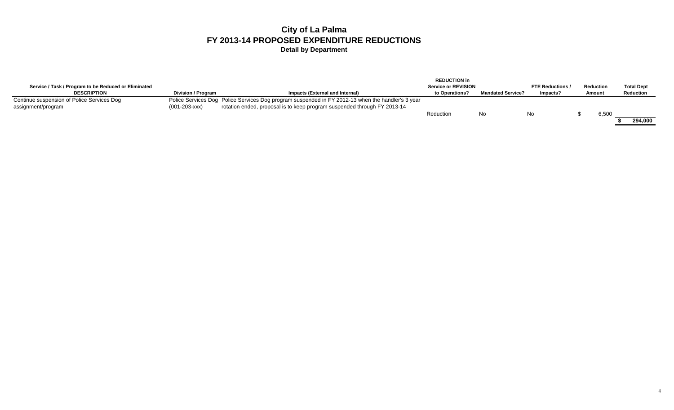|                                                      |                           |                                                                                                   | <b>REDUCTION in</b>        |                          |                       |           |                   |
|------------------------------------------------------|---------------------------|---------------------------------------------------------------------------------------------------|----------------------------|--------------------------|-----------------------|-----------|-------------------|
| Service / Task / Program to be Reduced or Eliminated |                           |                                                                                                   | <b>Service or REVISION</b> |                          | <b>FTE Reductions</b> | Reduction | <b>Total Dept</b> |
| <b>DESCRIPTION</b>                                   | <b>Division / Program</b> | Impacts (External and Internal)                                                                   | to Operations?             | <b>Mandated Service?</b> | Impacts?              | Amount    | <b>Reduction</b>  |
| Continue suspension of Police Services Dog           |                           | Police Services Dog Police Services Dog program suspended in FY 2012-13 when the handler's 3 year |                            |                          |                       |           |                   |
| assignment/program                                   | $(001 - 203 - XXX)$       | rotation ended, proposal is to keep program suspended through FY 2013-14                          |                            |                          |                       |           |                   |
|                                                      |                           |                                                                                                   | Reduction                  | No                       | No                    | 6,500     |                   |
|                                                      |                           |                                                                                                   |                            |                          |                       |           | 294.000           |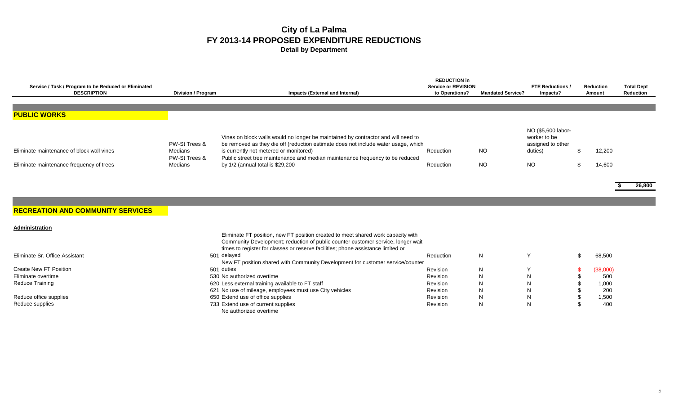| Service / Task / Program to be Reduced or Eliminated<br><b>DESCRIPTION</b>            | Division / Program                                   | Impacts (External and Internal)                                                                                                                                                                                                                                                                                                        | <b>REDUCTION in</b><br><b>Service or REVISION</b><br>to Operations? | <b>Mandated Service?</b> | <b>FTE Reductions /</b><br>Impacts?                                             | Reduction<br>Amount | <b>Total Dept</b><br>Reduction |
|---------------------------------------------------------------------------------------|------------------------------------------------------|----------------------------------------------------------------------------------------------------------------------------------------------------------------------------------------------------------------------------------------------------------------------------------------------------------------------------------------|---------------------------------------------------------------------|--------------------------|---------------------------------------------------------------------------------|---------------------|--------------------------------|
|                                                                                       |                                                      |                                                                                                                                                                                                                                                                                                                                        |                                                                     |                          |                                                                                 |                     |                                |
|                                                                                       |                                                      |                                                                                                                                                                                                                                                                                                                                        |                                                                     |                          |                                                                                 |                     |                                |
| <b>PUBLIC WORKS</b>                                                                   |                                                      |                                                                                                                                                                                                                                                                                                                                        |                                                                     |                          |                                                                                 |                     |                                |
| Eliminate maintenance of block wall vines<br>Eliminate maintenance frequency of trees | PW-St Trees &<br>Medians<br>PW-St Trees &<br>Medians | Vines on block walls would no longer be maintained by contractor and will need to<br>be removed as they die off (reduction estimate does not include water usage, which<br>is currently not metered or monitored)<br>Public street tree maintenance and median maintenance frequency to be reduced<br>by 1/2 (annual total is \$29,200 | Reduction<br>Reduction                                              | <b>NO</b><br>NO.         | NO (\$5,600 labor-<br>worker to be<br>assigned to other<br>duties)<br><b>NO</b> | 12,200<br>14,600    |                                |

**\$ 26,800**

### **RECREATION AND COMMUNITY SERVICES**

| Administration                 |                                                                                  |           |   |   |          |
|--------------------------------|----------------------------------------------------------------------------------|-----------|---|---|----------|
|                                | Eliminate FT position, new FT position created to meet shared work capacity with |           |   |   |          |
|                                | Community Development; reduction of public counter customer service, longer wait |           |   |   |          |
|                                | times to register for classes or reserve facilities; phone assistance limited or |           |   |   |          |
| Eliminate Sr. Office Assistant | 501 delayed                                                                      | Reduction | N |   | 68,500   |
|                                | New FT position shared with Community Development for customer service/counter   |           |   |   |          |
| Create New FT Position         | 501 duties                                                                       | Revision  | N |   | (38,000) |
| Eliminate overtime             | 530 No authorized overtime                                                       | Revision  | N | N | 500      |
| Reduce Training                | 620 Less external training available to FT staff                                 | Revision  |   | N | 1,000    |
|                                | 621 No use of mileage, employees must use City vehicles                          | Revision  |   | N | 200      |
| Reduce office supplies         | 650 Extend use of office supplies                                                | Revision  | N | N | 1,500    |
| Reduce supplies                | 733 Extend use of current supplies                                               | Revision  | N | N | 400      |
|                                | No authorized overtime                                                           |           |   |   |          |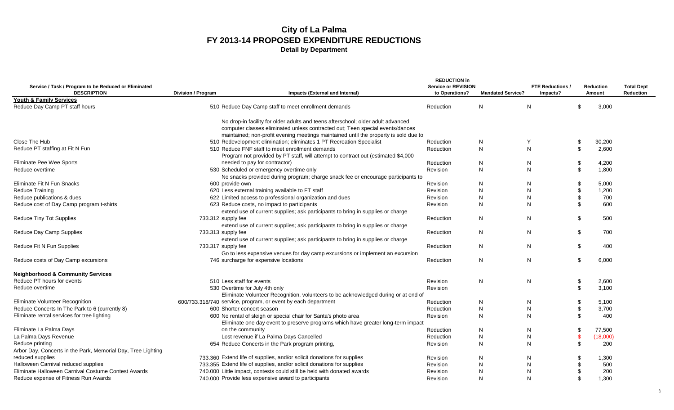|                                                                            |                                |                                                                                                                                                     | <b>REDUCTION in</b>                          |                          |                                   |               |                            |                                |
|----------------------------------------------------------------------------|--------------------------------|-----------------------------------------------------------------------------------------------------------------------------------------------------|----------------------------------------------|--------------------------|-----------------------------------|---------------|----------------------------|--------------------------------|
| Service / Task / Program to be Reduced or Eliminated<br><b>DESCRIPTION</b> | <b>Division / Program</b>      | Impacts (External and Internal)                                                                                                                     | <b>Service or REVISION</b><br>to Operations? | <b>Mandated Service?</b> | <b>FTE Reductions</b><br>Impacts? |               | <b>Reduction</b><br>Amount | <b>Total Dept</b><br>Reduction |
| Youth & Family Services                                                    |                                |                                                                                                                                                     |                                              |                          |                                   |               |                            |                                |
| Reduce Day Camp PT staff hours                                             |                                | 510 Reduce Day Camp staff to meet enrollment demands                                                                                                | Reduction                                    | N                        | N                                 | \$.           | 3,000                      |                                |
|                                                                            |                                | No drop-in facility for older adults and teens afterschool; older adult advanced                                                                    |                                              |                          |                                   |               |                            |                                |
|                                                                            |                                | computer classes eliminated unless contracted out; Teen special events/dances                                                                       |                                              |                          |                                   |               |                            |                                |
|                                                                            |                                | maintained; non-profit evening meetings maintained until the property is sold due to                                                                |                                              |                          |                                   |               |                            |                                |
| Close The Hub                                                              |                                | 510 Redevelopment elimination; eliminates 1 PT Recreation Specialist                                                                                | Reduction                                    | N                        | Y                                 | \$            | 30,200                     |                                |
| Reduce PT staffing at Fit N Fun                                            |                                | 510 Reduce FNF staff to meet enrollment demands<br>Program not provided by PT staff, will attempt to contract out (estimated \$4,000                | Reduction                                    | $\mathsf{N}$             | N                                 | \$            | 2,600                      |                                |
| Eliminate Pee Wee Sports                                                   |                                | needed to pay for contractor)                                                                                                                       | Reduction                                    | N                        | N                                 | \$            | 4,200                      |                                |
| Reduce overtime                                                            |                                | 530 Scheduled or emergency overtime only                                                                                                            | Revision                                     | N                        | N                                 | \$            | 1,800                      |                                |
|                                                                            |                                | No snacks provided during program; charge snack fee or encourage participants to                                                                    |                                              |                          |                                   |               |                            |                                |
| <b>Eliminate Fit N Fun Snacks</b>                                          | 600 provide own                |                                                                                                                                                     | Revision                                     | N                        | N                                 | \$            | 5,000                      |                                |
| Reduce Training                                                            |                                | 620 Less external training available to FT staff                                                                                                    | Revision                                     | $\mathsf{N}$             | N                                 | \$            | 1,200                      |                                |
| Reduce publications & dues                                                 |                                | 622 Limited access to professional organization and dues                                                                                            | Revision                                     | N                        | N                                 | \$            | 700                        |                                |
| Reduce cost of Day Camp program t-shirts                                   |                                | 623 Reduce costs, no impact to participants                                                                                                         | Revision                                     | N                        | N                                 | \$            | 600                        |                                |
|                                                                            |                                | extend use of current supplies; ask participants to bring in supplies or charge                                                                     |                                              |                          |                                   |               |                            |                                |
| Reduce Tiny Tot Supplies                                                   | 733.312 supply fee             | extend use of current supplies; ask participants to bring in supplies or charge                                                                     | Reduction                                    | N                        | N                                 | \$            | 500                        |                                |
| Reduce Day Camp Supplies                                                   | 733.313 supply fee             |                                                                                                                                                     | Reduction                                    | N                        | N                                 | \$            | 700                        |                                |
|                                                                            |                                | extend use of current supplies; ask participants to bring in supplies or charge                                                                     |                                              |                          |                                   |               |                            |                                |
| Reduce Fit N Fun Supplies                                                  | 733.317 supply fee             | Go to less expensive venues for day camp excursions or implement an excursion                                                                       | Reduction                                    | $\mathsf{N}$             | $\mathsf{N}$                      | \$            | 400                        |                                |
| Reduce costs of Day Camp excursions                                        |                                | 746 surcharge for expensive locations                                                                                                               | Reduction                                    | N                        | N                                 | \$            | 6.000                      |                                |
|                                                                            |                                |                                                                                                                                                     |                                              |                          |                                   |               |                            |                                |
| <b>Neighborhood &amp; Community Services</b>                               |                                |                                                                                                                                                     |                                              |                          |                                   |               |                            |                                |
| Reduce PT hours for events                                                 | 510 Less staff for events      |                                                                                                                                                     | <b>Revision</b>                              | $\mathsf{N}$             | $\mathsf{N}$                      | \$            | 2,600                      |                                |
| Reduce overtime                                                            | 530 Overtime for July 4th only |                                                                                                                                                     | Revision                                     |                          |                                   | \$            | 3,100                      |                                |
|                                                                            |                                | Eliminate Volunteer Recognition, volunteers to be acknowledged during or at end of                                                                  |                                              |                          |                                   |               |                            |                                |
| Eliminate Volunteer Recognition                                            |                                | 600/733.318/740 service, program, or event by each department                                                                                       | Reduction                                    | N                        | N                                 | \$            | 5,100                      |                                |
| Reduce Concerts In The Park to 6 (currently 8)                             | 600 Shorter concert season     |                                                                                                                                                     | Reduction                                    | $\mathsf{N}$             | N                                 | \$            | 3,700                      |                                |
| Eliminate rental services for tree lighting                                |                                | 600 No rental of sleigh or special chair for Santa's photo area<br>Eliminate one day event to preserve programs which have greater long-term impact | Revision                                     | $\mathsf{N}$             | N                                 | \$            | 400                        |                                |
| Eliminate La Palma Days                                                    | on the community               |                                                                                                                                                     | Reduction                                    | N                        | N                                 | \$            | 77,500                     |                                |
| La Palma Days Revenue                                                      |                                | Lost revenue if La Palma Days Cancelled                                                                                                             | Reduction                                    | N                        | $\mathsf{N}$                      | $\mathbf{\$}$ | (18,000)                   |                                |
| Reduce printing                                                            |                                | 654 Reduce Concerts in the Park program printing,                                                                                                   | Revision                                     | N                        | N                                 | \$            | 200                        |                                |
| Arbor Day, Concerts in the Park, Memorial Day, Tree Lighting               |                                |                                                                                                                                                     |                                              |                          |                                   |               |                            |                                |
| reduced supplies                                                           |                                | 733.360 Extend life of supplies, and/or solicit donations for supplies                                                                              | Revision                                     | N                        | N                                 |               | 1,300                      |                                |
| Halloween Carnival reduced supplies                                        |                                | 733.355 Extend life of supplies, and/or solicit donations for supplies                                                                              | Revision                                     | N                        | N                                 |               | 500                        |                                |
| Eliminate Halloween Carnival Costume Contest Awards                        |                                | 740.000 Little impact, contests could still be held with donated awards                                                                             | <b>Revision</b>                              | N                        | N                                 |               | 200                        |                                |
| Reduce expense of Fitness Run Awards                                       |                                | 740,000 Provide less expensive award to participants                                                                                                | Revision                                     | N                        | N                                 | \$            | 1.300                      |                                |
|                                                                            |                                |                                                                                                                                                     |                                              |                          |                                   |               |                            |                                |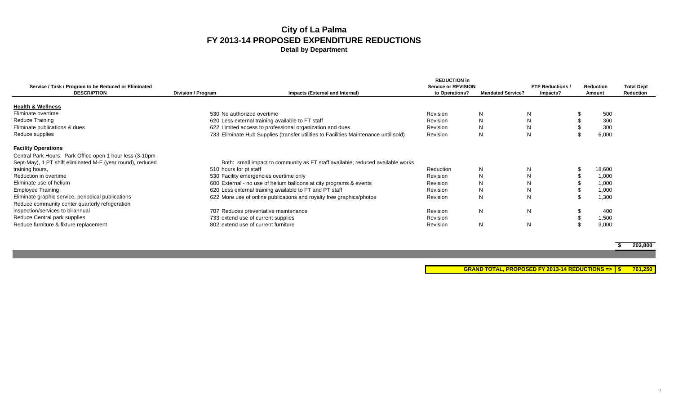| Service / Task / Program to be Reduced or Eliminated<br><b>DESCRIPTION</b> | Division / Program                  | Impacts (External and Internal)                                                      | <b>REDUCTION in</b><br><b>Service or REVISION</b><br>to Operations? | <b>Mandated Service?</b> | <b>FTE Reductions /</b><br>Impacts? | <b>Reduction</b><br>Amount | <b>Total Dept</b><br>Reduction |
|----------------------------------------------------------------------------|-------------------------------------|--------------------------------------------------------------------------------------|---------------------------------------------------------------------|--------------------------|-------------------------------------|----------------------------|--------------------------------|
| <b>Health &amp; Wellness</b>                                               |                                     |                                                                                      |                                                                     |                          |                                     |                            |                                |
| Eliminate overtime                                                         | 530 No authorized overtime          |                                                                                      | Revision                                                            | N                        | ΙN                                  | 500                        |                                |
| <b>Reduce Training</b>                                                     |                                     | 620 Less external training available to FT staff                                     | Revision                                                            | N                        |                                     | 300                        |                                |
| Eliminate publications & dues                                              |                                     | 622 Limited access to professional organization and dues                             | Revision                                                            | N                        |                                     | 300                        |                                |
| Reduce supplies                                                            |                                     | 733 Eliminate Hub Supplies (transfer utilities to Facilities Maintenance until sold) | Revision                                                            | N                        |                                     | 6,000                      |                                |
| <b>Facility Operations</b>                                                 |                                     |                                                                                      |                                                                     |                          |                                     |                            |                                |
| Central Park Hours: Park Office open 1 hour less (3-10pm)                  |                                     |                                                                                      |                                                                     |                          |                                     |                            |                                |
| Sept-May), 1 PT shift eliminated M-F (year round), reduced                 |                                     | Both: small impact to community as FT staff available; reduced available works       |                                                                     |                          |                                     |                            |                                |
| training hours,                                                            | 510 hours for pt staff              |                                                                                      | Reduction                                                           | N                        |                                     | 18,600                     |                                |
| Reduction in overtime                                                      |                                     | 530 Facility emergencies overtime only                                               | Revision                                                            | $\mathsf{N}$             |                                     | 1,000                      |                                |
| Eliminate use of helium                                                    |                                     | 600 External - no use of helium balloons at city programs & events                   | Revision                                                            | N                        |                                     | 1,000                      |                                |
| <b>Employee Training</b>                                                   |                                     | 620 Less external training available to FT and PT staff                              | Revision                                                            | N                        |                                     | 1,000                      |                                |
| Eliminate graphic service, periodical publications                         |                                     | 622 More use of online publications and royalty free graphics/photos                 | Revision                                                            | $\mathsf{N}$             |                                     | 1,300                      |                                |
| Reduce community center quarterly refrigeration                            |                                     |                                                                                      |                                                                     |                          |                                     |                            |                                |
| inspection/services to bi-annual                                           |                                     | 707 Reduces preventative maintenance                                                 | Revision                                                            | N                        |                                     | 400                        |                                |
| Reduce Central park supplies                                               | 733 extend use of current supplies  |                                                                                      | Revision                                                            |                          |                                     | 1,500                      |                                |
| Reduce furniture & fixture replacement                                     | 802 extend use of current furniture |                                                                                      | <b>Revision</b>                                                     | N                        |                                     | 3,000                      |                                |

**\$ 203,800**

**GRAND TOTAL, PROPOSED FY 2013-14 REDUCTIONS => \$ 761,250**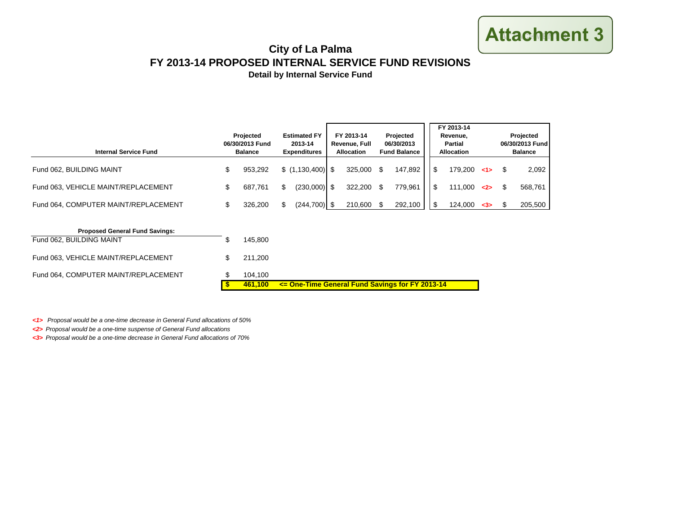## **ATTACHMENT 3 Attachment 3**

## **FY 2013-14 PROPOSED INTERNAL SERVICE FUND REVISIONS City of La Palma**

**Detail by Internal Service Fund**

| <b>Internal Service Fund</b>         | Projected<br>06/30/2013 Fund<br><b>Balance</b> | <b>Estimated FY</b><br>2013-14<br><b>Expenditures</b> | FY 2013-14<br>Revenue, Full<br><b>Allocation</b> | Projected<br>06/30/2013<br><b>Fund Balance</b> |         | FY 2013-14<br>Revenue.<br><b>Partial</b><br><b>Allocation</b> |         | Projected<br>06/30/2013 Fund<br><b>Balance</b> |  |         |
|--------------------------------------|------------------------------------------------|-------------------------------------------------------|--------------------------------------------------|------------------------------------------------|---------|---------------------------------------------------------------|---------|------------------------------------------------|--|---------|
| Fund 062, BUILDING MAINT             | 953.292                                        |                                                       | 325,000                                          | \$.                                            | 147,892 |                                                               | 179.200 | 1>                                             |  | 2,092   |
| Fund 063, VEHICLE MAINT/REPLACEMENT  | 687.761                                        | $(230,000)$ \$<br>\$                                  | 322,200                                          | ß.                                             | 779,961 |                                                               | 111.000 | 2                                              |  | 568,761 |
| Fund 064, COMPUTER MAINT/REPLACEMENT | 326.200                                        | $(244, 700)$ \$<br>\$                                 | 210,600                                          |                                                | 292,100 |                                                               | 124.000 | -3>                                            |  | 205,500 |

| <b>Proposed General Fund Savings:</b> |                |                                                          |
|---------------------------------------|----------------|----------------------------------------------------------|
| Fund 062, BUILDING MAINT              | 145.800        |                                                          |
| Fund 063, VEHICLE MAINT/REPLACEMENT   | 211.200        |                                                          |
| Fund 064, COMPUTER MAINT/REPLACEMENT  | 104.100        |                                                          |
|                                       | <b>461,100</b> | $\le$ $\le$ One-Time General Fund Savings for FY 2013-14 |

*<1> Proposal would be a one-time decrease in General Fund allocations of 50%*

*<2> Proposal would be a one-time suspense of General Fund allocations* 

*<3> Proposal would be a one-time decrease in General Fund allocations of 70%*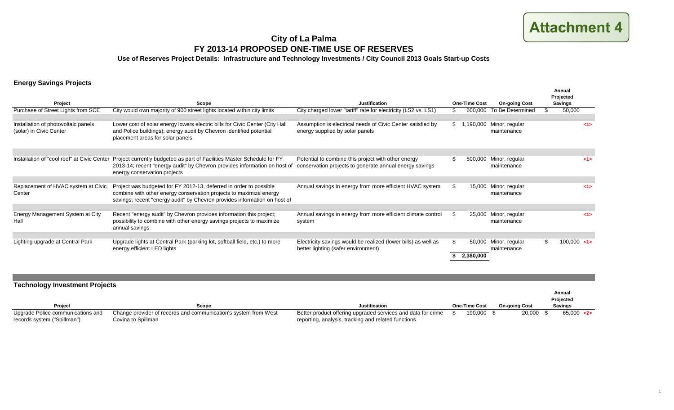## **City of La Palma FY 2013-14 PROPOSED ONE-TIME USE OF RESERVES**

**Use of Reserves Project Details: Infrastructure and Technology Investments / City Council 2013 Goals Start-up Costs**

### **Energy Savings Projects**

| Project                                                        | Scope                                                                                                                                                                                                                 | <b>Justification</b>                                                                                           |     | <b>One-Time Cost</b> | <b>On-going Cost</b>          | Annual<br>Projected<br><b>Savings</b> |
|----------------------------------------------------------------|-----------------------------------------------------------------------------------------------------------------------------------------------------------------------------------------------------------------------|----------------------------------------------------------------------------------------------------------------|-----|----------------------|-------------------------------|---------------------------------------|
| Purchase of Street Lights from SCE                             | City would own majority of 900 street lights located within city limits                                                                                                                                               | City charged lower "tariff" rate for electricity (LS2 vs. LS1)                                                 |     | 600,000              | To Be Determined              | 50,000                                |
| Installation of photovoltaic panels<br>(solar) in Civic Center | Lower cost of solar energy lowers electric bills for Civic Center (City Hall<br>and Police buildings); energy audit by Chevron identified potential<br>placement areas for solar panels                               | Assumption is electrical needs of Civic Center satisfied by<br>energy supplied by solar panels                 |     | \$1,190,000          | Minor, regular<br>maintenance | 15                                    |
| Installation of "cool roof" at Civic Center                    | Project currently budgeted as part of Facilities Master Schedule for FY<br>2013-14; recent "energy audit" by Chevron provides information on host of<br>energy conservation projects                                  | Potential to combine this project with other energy<br>conservation projects to generate annual energy savings | £.  | 500,000              | Minor, regular<br>maintenance | 15                                    |
| Replacement of HVAC system at Civic<br>Center                  | Project was budgeted for FY 2012-13, deferred in order to possible<br>combine with other energy conservation projects to maximize energy<br>savings; recent "energy audit" by Chevron provides information on host of | Annual savings in energy from more efficient HVAC system                                                       | \$  | 15,000               | Minor, regular<br>maintenance | 15                                    |
| Energy Management System at City<br>Hall                       | Recent "energy audit" by Chevron provides information this project;<br>possibility to combine with other energy savings projects to maximize<br>annual savings                                                        | Annual savings in energy from more efficient climate control<br>system                                         | -SG | 25,000               | Minor, regular<br>maintenance | 15                                    |
| Lighting upgrade at Central Park                               | Upgrade lights at Central Park (parking lot, softball field, etc.) to more<br>energy efficient LED lights                                                                                                             | Electricity savings would be realized (lower bills) as well as<br>better lighting (safer environment)          | £.  | 50,000<br>2,380,000  | Minor, regular<br>maintenance | 100.000 < 1                           |

| <b>Technology Investment Projects</b>                            |                                                                                       |                                                                                                                     |                      |                      |                     |
|------------------------------------------------------------------|---------------------------------------------------------------------------------------|---------------------------------------------------------------------------------------------------------------------|----------------------|----------------------|---------------------|
|                                                                  |                                                                                       |                                                                                                                     |                      |                      | Annual<br>Projected |
| Project                                                          | Scope                                                                                 | <b>Justification</b>                                                                                                | <b>One-Time Cost</b> | <b>On-going Cost</b> | <b>Savings</b>      |
| Upgrade Police communications and<br>records system ("Spillman") | Change provider of records and communication's system from West<br>Covina to Spillman | Better product offering upgraded services and data for crime<br>reporting, analysis, tracking and related functions | 190,000 \$           | 20,000               | 65.000 < 2          |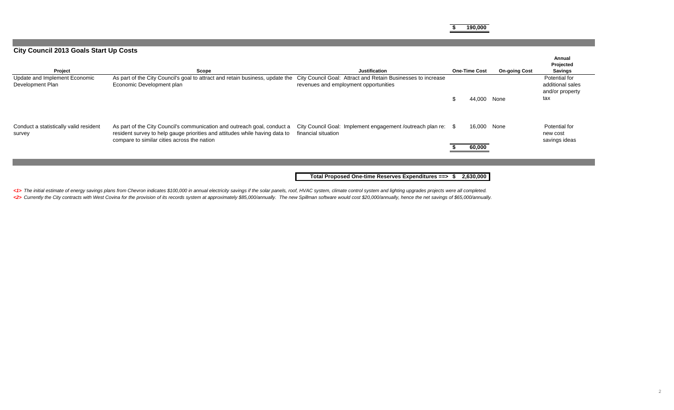**\$ 190,000**

### **City Council 2013 Goals Start Up Costs**

| Project                                           | Scope                                                                                                                                                                                                  | <b>Justification</b>                                                                                  | <b>One-Time Cost</b> | <b>On-going Cost</b> | Annual<br>Projected<br><b>Savings</b>                       |
|---------------------------------------------------|--------------------------------------------------------------------------------------------------------------------------------------------------------------------------------------------------------|-------------------------------------------------------------------------------------------------------|----------------------|----------------------|-------------------------------------------------------------|
| Update and Implement Economic<br>Development Plan | As part of the City Council's goal to attract and retain business, update the<br>Economic Development plan                                                                                             | City Council Goal: Attract and Retain Businesses to increase<br>revenues and employment opportunities | 44,000               | None                 | Potential for<br>additional sales<br>and/or property<br>tax |
| Conduct a statistically valid resident<br>survey  | As part of the City Council's communication and outreach goal, conduct a<br>resident survey to help gauge priorities and attitudes while having data to<br>compare to similar cities across the nation | City Council Goal: Implement engagement /outreach plan re: \$<br>financial situation                  | 16,000<br>60,000     | None                 | Potential for<br>new cost<br>savings ideas                  |
|                                                   |                                                                                                                                                                                                        |                                                                                                       |                      |                      |                                                             |
|                                                   |                                                                                                                                                                                                        | Total Proposed One-time Reserves Expenditures ==> \$                                                  | 2,630,000            |                      |                                                             |

<1> The initial estimate of energy savings plans from Chevron indicates \$100,000 in annual electricity savings if the solar panels, roof, HVAC system, climate control system and lighting upgrades projects were all complete <2> Currently the City contracts with West Covina for the provision of its records system at approximately \$85,000/annually. The new Spillman software would cost \$20,000/annually, hence the net savings of \$65,000/annually.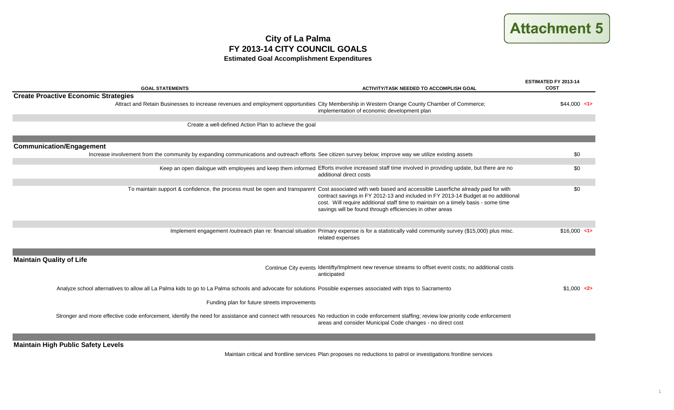## **ATTACHMENT 5 Attachment 5**

## **City of La Palma FY 2013-14 CITY COUNCIL GOALS Estimated Goal Accomplishment Expenditures**

| <b>GOAL STATEMENTS</b>                                                                                                                                                                    | <b>ACTIVITY/TASK NEEDED TO ACCOMPLISH GOAL</b>                                                                                                                                                                                                                                                                                                                                                    | ESTIMATED FY 2013-14<br><b>COST</b> |
|-------------------------------------------------------------------------------------------------------------------------------------------------------------------------------------------|---------------------------------------------------------------------------------------------------------------------------------------------------------------------------------------------------------------------------------------------------------------------------------------------------------------------------------------------------------------------------------------------------|-------------------------------------|
| <b>Create Proactive Economic Strategies</b>                                                                                                                                               |                                                                                                                                                                                                                                                                                                                                                                                                   |                                     |
| Attract and Retain Businesses to increase revenues and employment opportunities City Membership in Western Orange County Chamber of Commerce;                                             | implementation of economic development plan                                                                                                                                                                                                                                                                                                                                                       | $$44.000$ <1>                       |
| Create a well-defined Action Plan to achieve the goal                                                                                                                                     |                                                                                                                                                                                                                                                                                                                                                                                                   |                                     |
|                                                                                                                                                                                           |                                                                                                                                                                                                                                                                                                                                                                                                   |                                     |
| <b>Communication/Engagement</b>                                                                                                                                                           |                                                                                                                                                                                                                                                                                                                                                                                                   |                                     |
| Increase involvement from the community by expanding communications and outreach efforts See citizen survey below; improve way we utilize existing assets                                 |                                                                                                                                                                                                                                                                                                                                                                                                   | \$0                                 |
|                                                                                                                                                                                           |                                                                                                                                                                                                                                                                                                                                                                                                   |                                     |
|                                                                                                                                                                                           | Keep an open dialogue with employees and keep them informed Efforts involve increased staff time involved in providing update, but there are no<br>additional direct costs                                                                                                                                                                                                                        | \$0                                 |
|                                                                                                                                                                                           |                                                                                                                                                                                                                                                                                                                                                                                                   |                                     |
|                                                                                                                                                                                           | To maintain support & confidence, the process must be open and transparent Cost associated with web based and accessible Laserfiche already paid for with<br>contract savings in FY 2012-13 and included in FY 2013-14 Budget at no additional<br>cost. Will require additional staff time to maintain on a timely basis - some time<br>savings will be found through efficiencies in other areas | \$0                                 |
|                                                                                                                                                                                           |                                                                                                                                                                                                                                                                                                                                                                                                   |                                     |
|                                                                                                                                                                                           | Implement engagement /outreach plan re: financial situation Primary expense is for a statistically valid community survey (\$15,000) plus misc.<br>related expenses                                                                                                                                                                                                                               | $$16.000$ <1>                       |
|                                                                                                                                                                                           |                                                                                                                                                                                                                                                                                                                                                                                                   |                                     |
| <b>Maintain Quality of Life</b>                                                                                                                                                           |                                                                                                                                                                                                                                                                                                                                                                                                   |                                     |
|                                                                                                                                                                                           | Continue City events Identifty/Implment new revenue streams to offset event costs; no additional costs<br>anticipated                                                                                                                                                                                                                                                                             |                                     |
| Analyze school alternatives to allow all La Palma kids to go to La Palma schools and advocate for solutions Possible expenses associated with trips to Sacramento                         |                                                                                                                                                                                                                                                                                                                                                                                                   | $$1.000$ <2>                        |
| Funding plan for future streets improvements                                                                                                                                              |                                                                                                                                                                                                                                                                                                                                                                                                   |                                     |
| Stronger and more effective code enforcement, identify the need for assistance and connect with resources No reduction in code enforcement staffing; review low priority code enforcement | areas and consider Municipal Code changes - no direct cost                                                                                                                                                                                                                                                                                                                                        |                                     |
|                                                                                                                                                                                           |                                                                                                                                                                                                                                                                                                                                                                                                   |                                     |

**Maintain High Public Safety Levels**

Maintain critical and frontline services Plan proposes no reductions to patrol or investigations frontline services